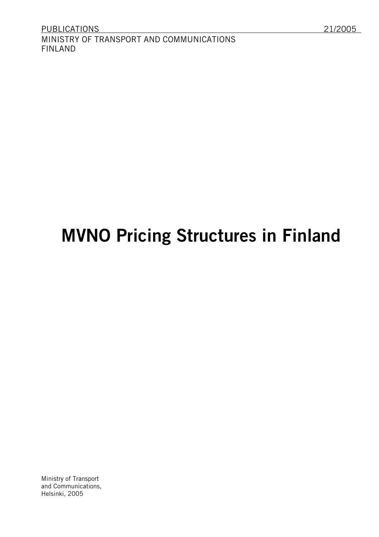# **MVNO Pricing Structures in Finland**

Ministry of Transport and Communications, Helsinki, 2005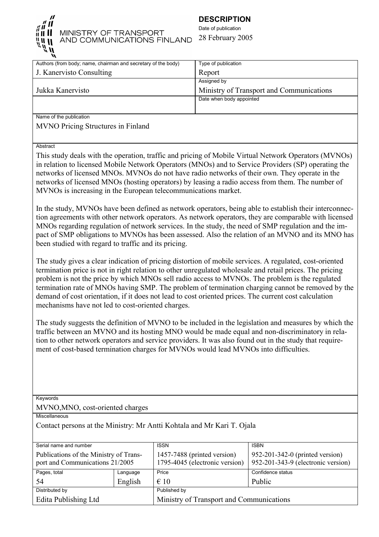

# MINISTRY OF TRANSPORT AND COMMUNICATIONS FINLAND

# **DESCRIPTION**

Date of publication 28 February 2005

| Authors (from body; name, chairman and secretary of the body) | Type of publication                      |
|---------------------------------------------------------------|------------------------------------------|
| J. Kanervisto Consulting                                      | Report                                   |
|                                                               | Assigned by                              |
| Jukka Kanervisto                                              | Ministry of Transport and Communications |
|                                                               | Date when body appointed                 |
|                                                               |                                          |
| Name of the publication                                       |                                          |

MVNO Pricing Structures in Finland

Abstract

This study deals with the operation, traffic and pricing of Mobile Virtual Network Operators (MVNOs) in relation to licensed Mobile Network Operators (MNOs) and to Service Providers (SP) operating the networks of licensed MNOs. MVNOs do not have radio networks of their own. They operate in the networks of licensed MNOs (hosting operators) by leasing a radio access from them. The number of MVNOs is increasing in the European telecommunications market.

In the study, MVNOs have been defined as network operators, being able to establish their interconnection agreements with other network operators. As network operators, they are comparable with licensed MNOs regarding regulation of network services. In the study, the need of SMP regulation and the impact of SMP obligations to MVNOs has been assessed. Also the relation of an MVNO and its MNO has been studied with regard to traffic and its pricing.

The study gives a clear indication of pricing distortion of mobile services. A regulated, cost-oriented termination price is not in right relation to other unregulated wholesale and retail prices. The pricing problem is not the price by which MNOs sell radio access to MVNOs. The problem is the regulated termination rate of MNOs having SMP. The problem of termination charging cannot be removed by the demand of cost orientation, if it does not lead to cost oriented prices. The current cost calculation mechanisms have not led to cost-oriented charges.

The study suggests the definition of MVNO to be included in the legislation and measures by which the traffic between an MVNO and its hosting MNO would be made equal and non-discriminatory in relation to other network operators and service providers. It was also found out in the study that requirement of cost-based termination charges for MVNOs would lead MVNOs into difficulties.

**Keywords** 

MVNO,MNO, cost-oriented charges

**Miscellaneous** 

Contact persons at the Ministry: Mr Antti Kohtala and Mr Kari T. Ojala

| Serial name and number                                                    |          | <b>ISSN</b>                                                   | <b>ISBN</b>                                                           |  |  |
|---------------------------------------------------------------------------|----------|---------------------------------------------------------------|-----------------------------------------------------------------------|--|--|
| Publications of the Ministry of Trans-<br>port and Communications 21/2005 |          | 1457-7488 (printed version)<br>1795-4045 (electronic version) | 952-201-342-0 (printed version)<br>952-201-343-9 (electronic version) |  |  |
| Pages, total                                                              | Language | Price                                                         | Confidence status                                                     |  |  |
| -54                                                                       | English  | $\epsilon$ 10                                                 | Public                                                                |  |  |
| Distributed by                                                            |          | Published by                                                  |                                                                       |  |  |
| Edita Publishing Ltd                                                      |          |                                                               | Ministry of Transport and Communications                              |  |  |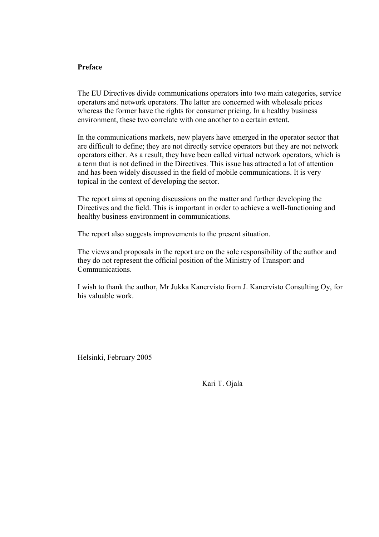## **Preface**

The EU Directives divide communications operators into two main categories, service operators and network operators. The latter are concerned with wholesale prices whereas the former have the rights for consumer pricing. In a healthy business environment, these two correlate with one another to a certain extent.

In the communications markets, new players have emerged in the operator sector that are difficult to define; they are not directly service operators but they are not network operators either. As a result, they have been called virtual network operators, which is a term that is not defined in the Directives. This issue has attracted a lot of attention and has been widely discussed in the field of mobile communications. It is very topical in the context of developing the sector.

The report aims at opening discussions on the matter and further developing the Directives and the field. This is important in order to achieve a well-functioning and healthy business environment in communications.

The report also suggests improvements to the present situation.

The views and proposals in the report are on the sole responsibility of the author and they do not represent the official position of the Ministry of Transport and Communications.

I wish to thank the author, Mr Jukka Kanervisto from J. Kanervisto Consulting Oy, for his valuable work.

Helsinki, February 2005

Kari T. Ojala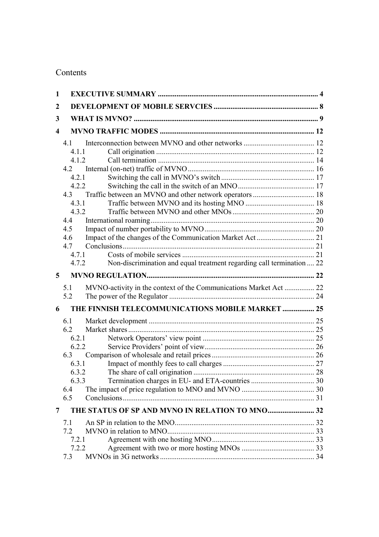# Contents

| $\mathbf{1}$            |                                                                                |  |
|-------------------------|--------------------------------------------------------------------------------|--|
| $\boldsymbol{2}$        |                                                                                |  |
| 3                       |                                                                                |  |
| $\overline{\mathbf{4}}$ |                                                                                |  |
|                         | 41                                                                             |  |
|                         | 4.1.1                                                                          |  |
|                         | 4.1.2                                                                          |  |
|                         |                                                                                |  |
|                         | 4.2.1                                                                          |  |
|                         | 4.2.2                                                                          |  |
|                         |                                                                                |  |
|                         | 4.3.1                                                                          |  |
|                         | 4.3.2                                                                          |  |
|                         | 4.4                                                                            |  |
|                         | 4.5                                                                            |  |
|                         | 4.6                                                                            |  |
|                         | 4.7                                                                            |  |
|                         | 4.7.1                                                                          |  |
|                         | Non-discrimination and equal treatment regarding call termination  22<br>4.7.2 |  |
| 5                       |                                                                                |  |
|                         | MVNO-activity in the context of the Communications Market Act  22<br>5.1       |  |
|                         | 5.2                                                                            |  |
| 6                       | THE FINNISH TELECOMMUNICATIONS MOBILE MARKET  25                               |  |
|                         | 6.1                                                                            |  |
|                         | 6.2                                                                            |  |
|                         | 6.2.1                                                                          |  |
|                         | 6.2.2                                                                          |  |
|                         | 6.3                                                                            |  |
|                         | 6.3.1                                                                          |  |
|                         | 6.3.2                                                                          |  |
|                         | 6.3.3                                                                          |  |
|                         | 6.4                                                                            |  |
|                         | 6.5                                                                            |  |
| 7                       |                                                                                |  |
|                         | 7.1                                                                            |  |
|                         | 7.2                                                                            |  |
|                         | 7.2.1                                                                          |  |
|                         | 7.2.2                                                                          |  |
|                         | 7.3                                                                            |  |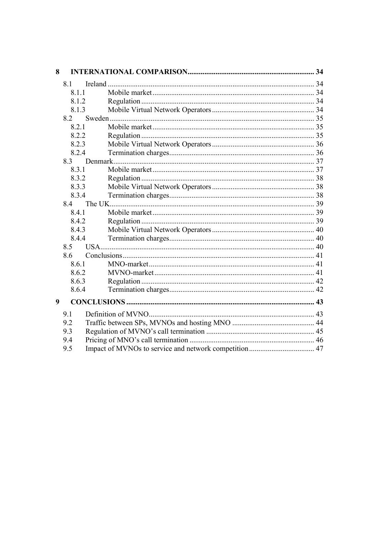| 8 |       |  |
|---|-------|--|
|   | 8.1   |  |
|   | 8.1.1 |  |
|   | 8.1.2 |  |
|   | 8.1.3 |  |
|   | 8.2   |  |
|   | 8.2.1 |  |
|   | 8.2.2 |  |
|   | 8.2.3 |  |
|   | 8.2.4 |  |
|   |       |  |
|   | 8.3.1 |  |
|   | 8.3.2 |  |
|   | 8.3.3 |  |
|   | 8.3.4 |  |
|   | 8.4   |  |
|   | 8.4.1 |  |
|   | 8.4.2 |  |
|   | 8.4.3 |  |
|   | 8.4.4 |  |
|   | 8.5   |  |
|   | 8.6   |  |
|   | 8.6.1 |  |
|   | 8.6.2 |  |
|   | 8.6.3 |  |
|   | 8.6.4 |  |
| 9 |       |  |
|   | 9.1   |  |
|   | 9.2   |  |
|   | 9.3   |  |
|   | 9.4   |  |
|   | 9.5   |  |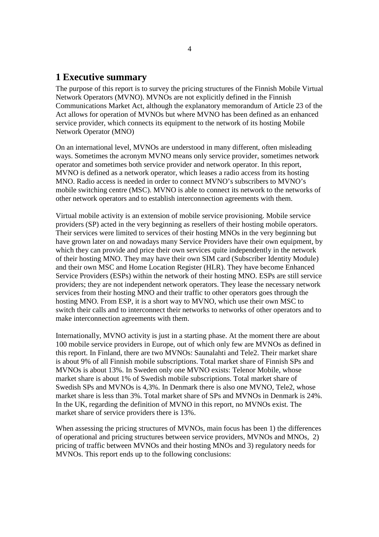# **1 Executive summary**

The purpose of this report is to survey the pricing structures of the Finnish Mobile Virtual Network Operators (MVNO). MVNOs are not explicitly defined in the Finnish Communications Market Act, although the explanatory memorandum of Article 23 of the Act allows for operation of MVNOs but where MVNO has been defined as an enhanced service provider, which connects its equipment to the network of its hosting Mobile Network Operator (MNO)

On an international level, MVNOs are understood in many different, often misleading ways. Sometimes the acronym MVNO means only service provider, sometimes network operator and sometimes both service provider and network operator. In this report, MVNO is defined as a network operator, which leases a radio access from its hosting MNO. Radio access is needed in order to connect MVNO's subscribers to MVNO's mobile switching centre (MSC). MVNO is able to connect its network to the networks of other network operators and to establish interconnection agreements with them.

Virtual mobile activity is an extension of mobile service provisioning. Mobile service providers (SP) acted in the very beginning as resellers of their hosting mobile operators. Their services were limited to services of their hosting MNOs in the very beginning but have grown later on and nowadays many Service Providers have their own equipment, by which they can provide and price their own services quite independently in the network of their hosting MNO. They may have their own SIM card (Subscriber Identity Module) and their own MSC and Home Location Register (HLR). They have become Enhanced Service Providers (ESPs) within the network of their hosting MNO. ESPs are still service providers; they are not independent network operators. They lease the necessary network services from their hosting MNO and their traffic to other operators goes through the hosting MNO. From ESP, it is a short way to MVNO, which use their own MSC to switch their calls and to interconnect their networks to networks of other operators and to make interconnection agreements with them.

Internationally, MVNO activity is just in a starting phase. At the moment there are about 100 mobile service providers in Europe, out of which only few are MVNOs as defined in this report. In Finland, there are two MVNOs: Saunalahti and Tele2. Their market share is about 9% of all Finnish mobile subscriptions. Total market share of Finnish SPs and MVNOs is about 13%. In Sweden only one MVNO exists: Telenor Mobile, whose market share is about 1% of Swedish mobile subscriptions. Total market share of Swedish SPs and MVNOs is 4,3%. In Denmark there is also one MVNO, Tele2, whose market share is less than 3%. Total market share of SPs and MVNOs in Denmark is 24%. In the UK, regarding the definition of MVNO in this report, no MVNOs exist. The market share of service providers there is 13%.

When assessing the pricing structures of MVNOs, main focus has been 1) the differences of operational and pricing structures between service providers, MVNOs and MNOs, 2) pricing of traffic between MVNOs and their hosting MNOs and 3) regulatory needs for MVNOs. This report ends up to the following conclusions: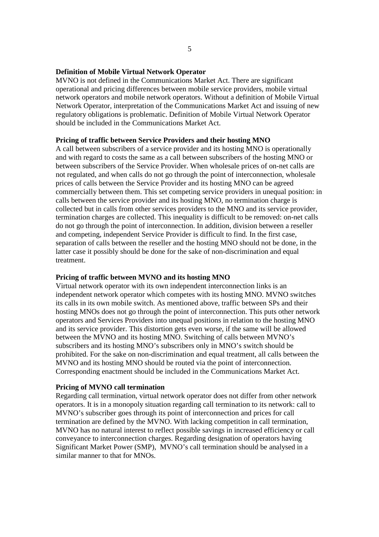#### **Definition of Mobile Virtual Network Operator**

MVNO is not defined in the Communications Market Act. There are significant operational and pricing differences between mobile service providers, mobile virtual network operators and mobile network operators. Without a definition of Mobile Virtual Network Operator, interpretation of the Communications Market Act and issuing of new regulatory obligations is problematic. Definition of Mobile Virtual Network Operator should be included in the Communications Market Act.

#### **Pricing of traffic between Service Providers and their hosting MNO**

A call between subscribers of a service provider and its hosting MNO is operationally and with regard to costs the same as a call between subscribers of the hosting MNO or between subscribers of the Service Provider. When wholesale prices of on-net calls are not regulated, and when calls do not go through the point of interconnection, wholesale prices of calls between the Service Provider and its hosting MNO can be agreed commercially between them. This set competing service providers in unequal position: in calls between the service provider and its hosting MNO, no termination charge is collected but in calls from other services providers to the MNO and its service provider, termination charges are collected. This inequality is difficult to be removed: on-net calls do not go through the point of interconnection. In addition, division between a reseller and competing, independent Service Provider is difficult to find. In the first case, separation of calls between the reseller and the hosting MNO should not be done, in the latter case it possibly should be done for the sake of non-discrimination and equal treatment.

#### **Pricing of traffic between MVNO and its hosting MNO**

Virtual network operator with its own independent interconnection links is an independent network operator which competes with its hosting MNO. MVNO switches its calls in its own mobile switch. As mentioned above, traffic between SPs and their hosting MNOs does not go through the point of interconnection. This puts other network operators and Services Providers into unequal positions in relation to the hosting MNO and its service provider. This distortion gets even worse, if the same will be allowed between the MVNO and its hosting MNO. Switching of calls between MVNO's subscribers and its hosting MNO's subscribers only in MNO's switch should be prohibited. For the sake on non-discrimination and equal treatment, all calls between the MVNO and its hosting MNO should be routed via the point of interconnection. Corresponding enactment should be included in the Communications Market Act.

#### **Pricing of MVNO call termination**

Regarding call termination, virtual network operator does not differ from other network operators. It is in a monopoly situation regarding call termination to its network: call to MVNO's subscriber goes through its point of interconnection and prices for call termination are defined by the MVNO. With lacking competition in call termination, MVNO has no natural interest to reflect possible savings in increased efficiency or call conveyance to interconnection charges. Regarding designation of operators having Significant Market Power (SMP), MVNO's call termination should be analysed in a similar manner to that for MNOs.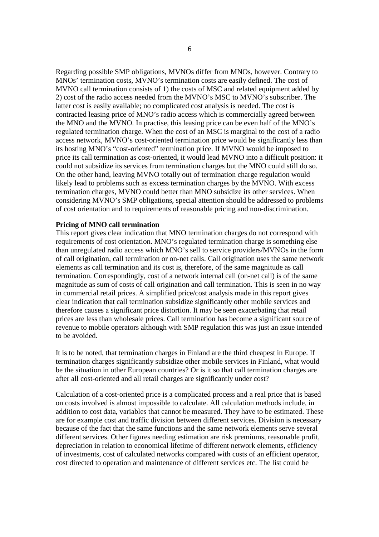Regarding possible SMP obligations, MVNOs differ from MNOs, however. Contrary to MNOs' termination costs, MVNO's termination costs are easily defined. The cost of MVNO call termination consists of 1) the costs of MSC and related equipment added by 2) cost of the radio access needed from the MVNO's MSC to MVNO's subscriber. The latter cost is easily available; no complicated cost analysis is needed. The cost is contracted leasing price of MNO's radio access which is commercially agreed between the MNO and the MVNO. In practise, this leasing price can be even half of the MNO's regulated termination charge. When the cost of an MSC is marginal to the cost of a radio access network, MVNO's cost-oriented termination price would be significantly less than its hosting MNO's "cost-oriented" termination price. If MVNO would be imposed to price its call termination as cost-oriented, it would lead MVNO into a difficult position: it could not subsidize its services from termination charges but the MNO could still do so. On the other hand, leaving MVNO totally out of termination charge regulation would likely lead to problems such as excess termination charges by the MVNO. With excess termination charges, MVNO could better than MNO subsidize its other services. When considering MVNO's SMP obligations, special attention should be addressed to problems of cost orientation and to requirements of reasonable pricing and non-discrimination.

## **Pricing of MNO call termination**

This report gives clear indication that MNO termination charges do not correspond with requirements of cost orientation. MNO's regulated termination charge is something else than unregulated radio access which MNO's sell to service providers/MVNOs in the form of call origination, call termination or on-net calls. Call origination uses the same network elements as call termination and its cost is, therefore, of the same magnitude as call termination. Correspondingly, cost of a network internal call (on-net call) is of the same magnitude as sum of costs of call origination and call termination. This is seen in no way in commercial retail prices. A simplified price/cost analysis made in this report gives clear indication that call termination subsidize significantly other mobile services and therefore causes a significant price distortion. It may be seen exacerbating that retail prices are less than wholesale prices. Call termination has become a significant source of revenue to mobile operators although with SMP regulation this was just an issue intended to be avoided.

It is to be noted, that termination charges in Finland are the third cheapest in Europe. If termination charges significantly subsidize other mobile services in Finland, what would be the situation in other European countries? Or is it so that call termination charges are after all cost-oriented and all retail charges are significantly under cost?

Calculation of a cost-oriented price is a complicated process and a real price that is based on costs involved is almost impossible to calculate. All calculation methods include, in addition to cost data, variables that cannot be measured. They have to be estimated. These are for example cost and traffic division between different services. Division is necessary because of the fact that the same functions and the same network elements serve several different services. Other figures needing estimation are risk premiums, reasonable profit, depreciation in relation to economical lifetime of different network elements, efficiency of investments, cost of calculated networks compared with costs of an efficient operator, cost directed to operation and maintenance of different services etc. The list could be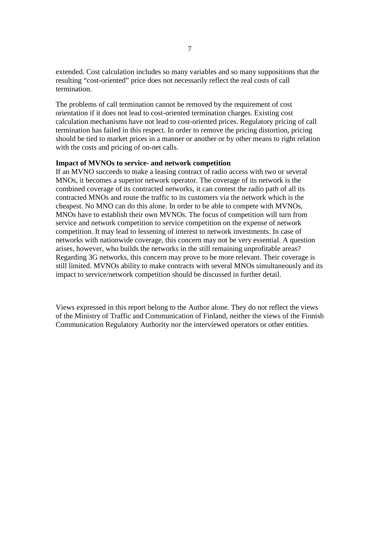extended. Cost calculation includes so many variables and so many suppositions that the resulting "cost-oriented" price does not necessarily reflect the real costs of call termination.

The problems of call termination cannot be removed by the requirement of cost orientation if it does not lead to cost-oriented termination charges. Existing cost calculation mechanisms have not lead to cost-oriented prices. Regulatory pricing of call termination has failed in this respect. In order to remove the pricing distortion, pricing should be tied to market prices in a manner or another or by other means to right relation with the costs and pricing of on-net calls.

#### **Impact of MVNOs to service- and network competition**

If an MVNO succeeds to make a leasing contract of radio access with two or several MNOs, it becomes a superior network operator. The coverage of its network is the combined coverage of its contracted networks, it can contest the radio path of all its contracted MNOs and route the traffic to its customers via the network which is the cheapest. No MNO can do this alone. In order to be able to compete with MVNOs, MNOs have to establish their own MVNOs. The focus of competition will turn from service and network competition to service competition on the expense of network competition. It may lead to lessening of interest to network investments. In case of networks with nationwide coverage, this concern may not be very essential. A question arises, however, who builds the networks in the still remaining unprofitable areas? Regarding 3G networks, this concern may prove to be more relevant. Their coverage is still limited. MVNOs ability to make contracts with several MNOs simultaneously and its impact to service/network competition should be discussed in further detail.

Views expressed in this report belong to the Author alone. They do not reflect the views of the Ministry of Traffic and Communication of Finland, neither the views of the Finnish Communication Regulatory Authority nor the interviewed operators or other entities.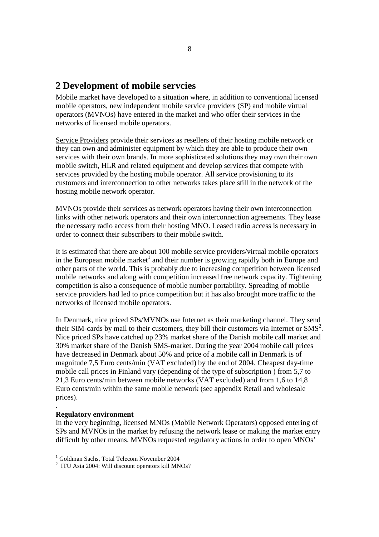# **2 Development of mobile servcies**

Mobile market have developed to a situation where, in addition to conventional licensed mobile operators, new independent mobile service providers (SP) and mobile virtual operators (MVNOs) have entered in the market and who offer their services in the networks of licensed mobile operators.

Service Providers provide their services as resellers of their hosting mobile network or they can own and administer equipment by which they are able to produce their own services with their own brands. In more sophisticated solutions they may own their own mobile switch, HLR and related equipment and develop services that compete with services provided by the hosting mobile operator. All service provisioning to its customers and interconnection to other networks takes place still in the network of the hosting mobile network operator.

MVNOs provide their services as network operators having their own interconnection links with other network operators and their own interconnection agreements. They lease the necessary radio access from their hosting MNO. Leased radio access is necessary in order to connect their subscribers to their mobile switch.

It is estimated that there are about 100 mobile service providers/virtual mobile operators in the European mobile market<sup>1</sup> and their number is growing rapidly both in Europe and other parts of the world. This is probably due to increasing competition between licensed mobile networks and along with competition increased free network capacity. Tightening competition is also a consequence of mobile number portability. Spreading of mobile service providers had led to price competition but it has also brought more traffic to the networks of licensed mobile operators.

In Denmark, nice priced SPs/MVNOs use Internet as their marketing channel. They send their SIM-cards by mail to their customers, they bill their customers via Internet or  $\text{SMS}^2$ . Nice priced SPs have catched up 23% market share of the Danish mobile call market and 30% market share of the Danish SMS-market. During the year 2004 mobile call prices have decreased in Denmark about 50% and price of a mobile call in Denmark is of magnitude 7,5 Euro cents/min (VAT excluded) by the end of 2004. Cheapest day-time mobile call prices in Finland vary (depending of the type of subscription ) from 5,7 to 21,3 Euro cents/min between mobile networks (VAT excluded) and from 1,6 to 14,8 Euro cents/min within the same mobile network (see appendix Retail and wholesale prices).

#### **Regulatory environment**

.

l

In the very beginning, licensed MNOs (Mobile Network Operators) opposed entering of SPs and MVNOs in the market by refusing the network lease or making the market entry difficult by other means. MVNOs requested regulatory actions in order to open MNOs'

<sup>1</sup> Goldman Sachs, Total Telecom November 2004

<sup>&</sup>lt;sup>2</sup> ITU Asia 2004: Will discount operators kill MNOs?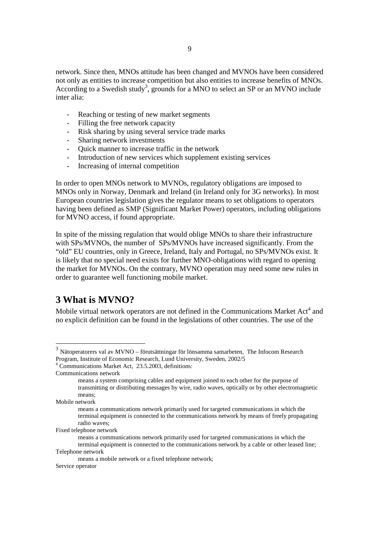- Reaching or testing of new market segments
- Filling the free network capacity
- Risk sharing by using several service trade marks
- Sharing network investments
- Quick manner to increase traffic in the network
- Introduction of new services which supplement existing services
- Increasing of internal competition

In order to open MNOs network to MVNOs, regulatory obligations are imposed to MNOs only in Norway, Denmark and Ireland (in Ireland only for 3G networks). In most European countries legislation gives the regulator means to set obligations to operators having been defined as SMP (Significant Market Power) operators, including obligations for MVNO access, if found appropriate.

In spite of the missing regulation that would oblige MNOs to share their infrastructure with SPs/MVNOs, the number of SPs/MVNOs have increased significantly. From the "old" EU countries, only in Greece, Ireland, Italy and Portugal, no SPs/MVNOs exist. It is likely that no special need exists for further MNO-obligations with regard to opening the market for MVNOs. On the contrary, MVNO operation may need some new rules in order to guarantee well functioning mobile market.

# **3 What is MVNO?**

Mobile virtual network operators are not defined in the Communications Market Act<sup>4</sup> and no explicit definition can be found in the legislations of other countries. The use of the

 $3$  Nätoperatorers val av MVNO – förutsättningar för lönsamma samarbeten, The Infocom Research Program, Institute of Economic Research, Lund University, Sweden, 2002/5

<sup>4</sup> Communications Market Act, 23.5.2003, definitions:

Communications network

means a system comprising cables and equipment joined to each other for the purpose of transmitting or distributing messages by wire, radio waves, optically or by other electromagnetic means;

Mobile network

means a communications network primarily used for targeted communications in which the terminal equipment is connected to the communications network by means of freely propagating radio waves;

Fixed telephone network

means a communications network primarily used for targeted communications in which the terminal equipment is connected to the communications network by a cable or other leased line; Telephone network

means a mobile network or a fixed telephone network;

Service operator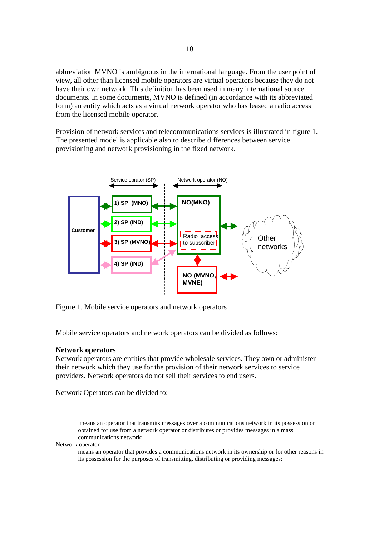abbreviation MVNO is ambiguous in the international language. From the user point of view, all other than licensed mobile operators are virtual operators because they do not have their own network. This definition has been used in many international source documents. In some documents, MVNO is defined (in accordance with its abbreviated form) an entity which acts as a virtual network operator who has leased a radio access from the licensed mobile operator.

Provision of network services and telecommunications services is illustrated in figure 1. The presented model is applicable also to describe differences between service provisioning and network provisioning in the fixed network.



Figure 1. Mobile service operators and network operators

Mobile service operators and network operators can be divided as follows:

#### **Network operators**

Network operators are entities that provide wholesale services. They own or administer their network which they use for the provision of their network services to service providers. Network operators do not sell their services to end users.

Network Operators can be divided to:

 means an operator that transmits messages over a communications network in its possession or obtained for use from a network operator or distributes or provides messages in a mass communications network;

#### Network operator

means an operator that provides a communications network in its ownership or for other reasons in its possession for the purposes of transmitting, distributing or providing messages;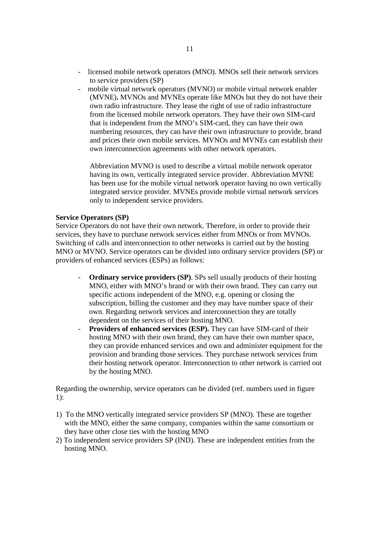- licensed mobile network operators (MNO). MNOs sell their network services to service providers (SP)
- mobile virtual network operators (MVNO) or mobile virtual network enabler (MVNE)**.** MVNOs and MVNEs operate like MNOs but they do not have their own radio infrastructure. They lease the right of use of radio infrastructure from the licensed mobile network operators. They have their own SIM-card that is independent from the MNO's SIM-card, they can have their own numbering resources, they can have their own infrastructure to provide, brand and prices their own mobile services. MVNOs and MVNEs can establish their own interconnection agreements with other network operators.

Abbreviation MVNO is used to describe a virtual mobile network operator having its own, vertically integrated service provider. Abbreviation MVNE has been use for the mobile virtual network operator having no own vertically integrated service provider. MVNEs provide mobile virtual network services only to independent service providers.

#### **Service Operators (SP)**

Service Operators do not have their own network. Therefore, in order to provide their services, they have to purchase network services either from MNOs or from MVNOs. Switching of calls and interconnection to other networks is carried out by the hosting MNO or MVNO. Service operators can be divided into ordinary service providers (SP) or providers of enhanced services (ESPs) as follows:

- **Ordinary service providers (SP).** SPs sell usually products of their hosting MNO, either with MNO's brand or with their own brand. They can carry out specific actions independent of the MNO, e.g. opening or closing the subscription, billing the customer and they may have number space of their own. Regarding network services and interconnection they are totally dependent on the services of their hosting MNO.
- Providers of enhanced services (ESP). They can have SIM-card of their hosting MNO with their own brand, they can have their own number space, they can provide enhanced services and own and administer equipment for the provision and branding those services. They purchase network services from their hosting network operator. Interconnection to other network is carried out by the hosting MNO.

Regarding the ownership, service operators can be divided (ref. numbers used in figure 1):

- 1) To the MNO vertically integrated service providers SP (MNO). These are together with the MNO, either the same company, companies within the same consortium or they have other close ties with the hosting MNO
- 2) To independent service providers SP (IND). These are independent entities from the hosting MNO.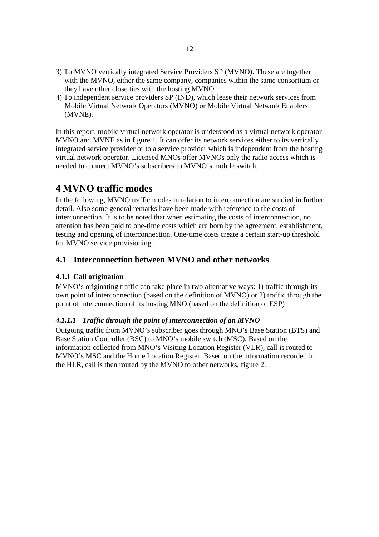- 3) To MVNO vertically integrated Service Providers SP (MVNO). These are together with the MVNO, either the same company, companies within the same consortium or they have other close ties with the hosting MVNO
- 4) To independent service providers SP (IND), which lease their network services from Mobile Virtual Network Operators (MVNO) or Mobile Virtual Network Enablers (MVNE).

In this report, mobile virtual network operator is understood as a virtual network operator MVNO and MVNE as in figure 1. It can offer its network services either to its vertically integrated service provider or to a service provider which is independent from the hosting virtual network operator. Licensed MNOs offer MVNOs only the radio access which is needed to connect MVNO's subscribers to MVNO's mobile switch.

# **4 MVNO traffic modes**

In the following, MVNO traffic modes in relation to interconnection are studied in further detail. Also some general remarks have been made with reference to the costs of interconnection. It is to be noted that when estimating the costs of interconnection, no attention has been paid to one-time costs which are born by the agreement, establishment, testing and opening of interconnection. One-time costs create a certain start-up threshold for MVNO service provisioning.

# **4.1 Interconnection between MVNO and other networks**

# **4.1.1 Call origination**

MVNO's originating traffic can take place in two alternative ways: 1) traffic through its own point of interconnection (based on the definition of MVNO) or 2) traffic through the point of interconnection of its hosting MNO (based on the definition of ESP)

# *4.1.1.1 Traffic through the point of interconnection of an MVNO*

Outgoing traffic from MVNO's subscriber goes through MNO's Base Station (BTS) and Base Station Controller (BSC) to MNO's mobile switch (MSC). Based on the information collected from MNO's Visiting Location Register (VLR), call is routed to MVNO's MSC and the Home Location Register. Based on the information recorded in the HLR, call is then routed by the MVNO to other networks, figure 2.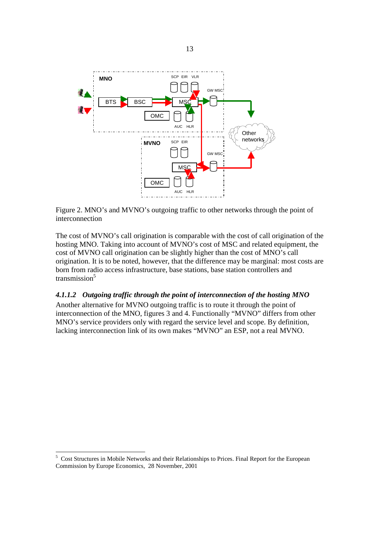

Figure 2. MNO's and MVNO's outgoing traffic to other networks through the point of interconnection

The cost of MVNO's call origination is comparable with the cost of call origination of the hosting MNO. Taking into account of MVNO's cost of MSC and related equipment, the cost of MVNO call origination can be slightly higher than the cost of MNO's call origination. It is to be noted, however, that the difference may be marginal: most costs are born from radio access infrastructure, base stations, base station controllers and transmission<sup>5</sup>

# *4.1.1.2 Outgoing traffic through the point of interconnection of the hosting MNO*

Another alternative for MVNO outgoing traffic is to route it through the point of interconnection of the MNO, figures 3 and 4. Functionally "MVNO" differs from other MNO's service providers only with regard the service level and scope. By definition, lacking interconnection link of its own makes "MVNO" an ESP, not a real MVNO.

l 5 Cost Structures in Mobile Networks and their Relationships to Prices. Final Report for the European Commission by Europe Economics, 28 November, 2001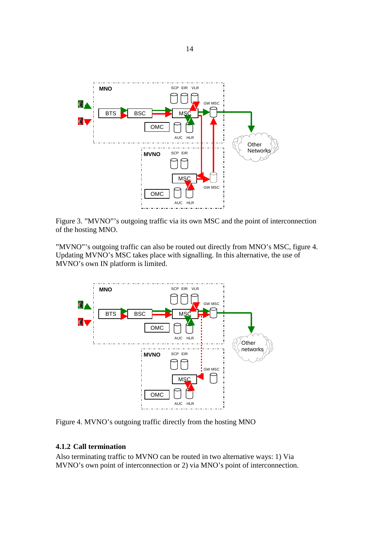

Figure 3. "MVNO"'s outgoing traffic via its own MSC and the point of interconnection of the hosting MNO.

"MVNO"'s outgoing traffic can also be routed out directly from MNO's MSC, figure 4. Updating MVNO's MSC takes place with signalling. In this alternative, the use of MVNO's own IN platform is limited.



Figure 4. MVNO's outgoing traffic directly from the hosting MNO

# **4.1.2 Call termination**

Also terminating traffic to MVNO can be routed in two alternative ways: 1) Via MVNO's own point of interconnection or 2) via MNO's point of interconnection.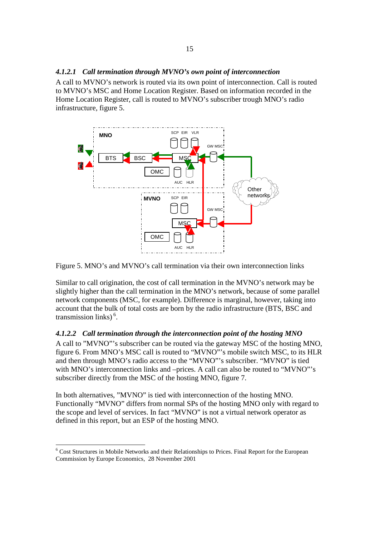#### *4.1.2.1 Call termination through MVNO's own point of interconnection*

A call to MVNO's network is routed via its own point of interconnection. Call is routed to MVNO's MSC and Home Location Register. Based on information recorded in the Home Location Register, call is routed to MVNO's subscriber trough MNO's radio infrastructure, figure 5.



Figure 5. MNO's and MVNO's call termination via their own interconnection links

Similar to call origination, the cost of call termination in the MVNO's network may be slightly higher than the call termination in the MNO's network, because of some parallel network components (MSC, for example). Difference is marginal, however, taking into account that the bulk of total costs are born by the radio infrastructure (BTS, BSC and transmission links) $<sup>6</sup>$ .</sup>

## *4.1.2.2 Call termination through the interconnection point of the hosting MNO*

A call to "MVNO"'s subscriber can be routed via the gateway MSC of the hosting MNO, figure 6. From MNO's MSC call is routed to "MVNO"'s mobile switch MSC, to its HLR and then through MNO's radio access to the "MVNO"'s subscriber. "MVNO" is tied with MNO's interconnection links and –prices. A call can also be routed to "MVNO"'s subscriber directly from the MSC of the hosting MNO, figure 7.

In both alternatives, "MVNO" is tied with interconnection of the hosting MNO. Functionally "MVNO" differs from normal SPs of the hosting MNO only with regard to the scope and level of services. In fact "MVNO" is not a virtual network operator as defined in this report, but an ESP of the hosting MNO.

<sup>&</sup>lt;sup>6</sup> Cost Structures in Mobile Networks and their Relationships to Prices. Final Report for the European Commission by Europe Economics, 28 November 2001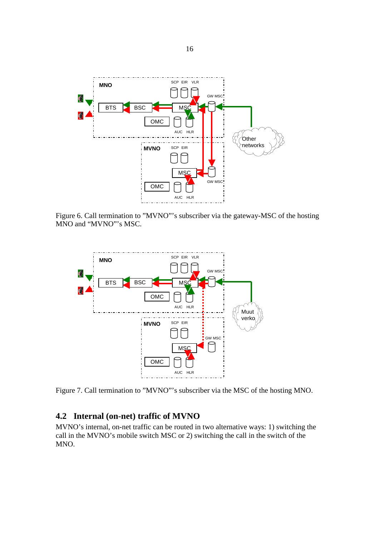

Figure 6. Call termination to "MVNO"'s subscriber via the gateway-MSC of the hosting MNO and "MVNO"'s MSC.



Figure 7. Call termination to "MVNO"'s subscriber via the MSC of the hosting MNO.

# **4.2 Internal (on-net) traffic of MVNO**

MVNO's internal, on-net traffic can be routed in two alternative ways: 1) switching the call in the MVNO's mobile switch MSC or 2) switching the call in the switch of the MNO.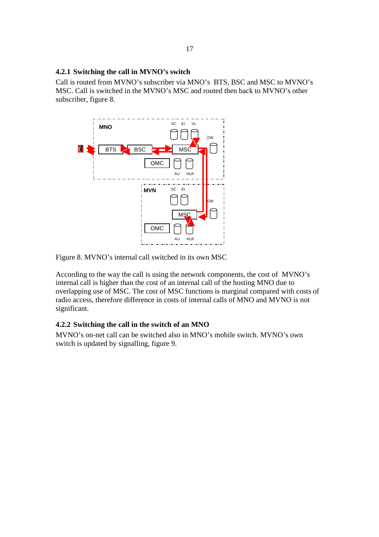## **4.2.1 Switching the call in MVNO's switch**

Call is routed from MVNO's subscriber via MNO's BTS, BSC and MSC to MVNO's MSC. Call is switched in the MVNO's MSC and routed then back to MVNO's other subscriber, figure 8.



Figure 8. MVNO's internal call switched in its own MSC

According to the way the call is using the network components, the cost of MVNO's internal call is higher than the cost of an internal call of the hosting MNO due to overlapping use of MSC. The cost of MSC functions is marginal compared with costs of radio access, therefore difference in costs of internal calls of MNO and MVNO is not significant.

## **4.2.2 Switching the call in the switch of an MNO**

MVNO's on-net call can be switched also in MNO's mobile switch. MVNO's own switch is updated by signalling, figure 9.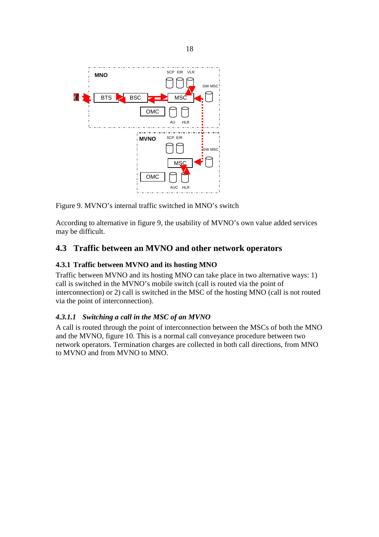

Figure 9. MVNO's internal traffic switched in MNO's switch

According to alternative in figure 9, the usability of MVNO's own value added services may be difficult.

# **4.3 Traffic between an MVNO and other network operators**

# **4.3.1 Traffic between MVNO and its hosting MNO**

Traffic between MVNO and its hosting MNO can take place in two alternative ways: 1) call is switched in the MVNO's mobile switch (call is routed via the point of interconnection) or 2) call is switched in the MSC of the hosting MNO (call is not routed via the point of interconnection).

# *4.3.1.1 Switching a call in the MSC of an MVNO*

A call is routed through the point of interconnection between the MSCs of both the MNO and the MVNO, figure 10. This is a normal call conveyance procedure between two network operators. Termination charges are collected in both call directions, from MNO to MVNO and from MVNO to MNO.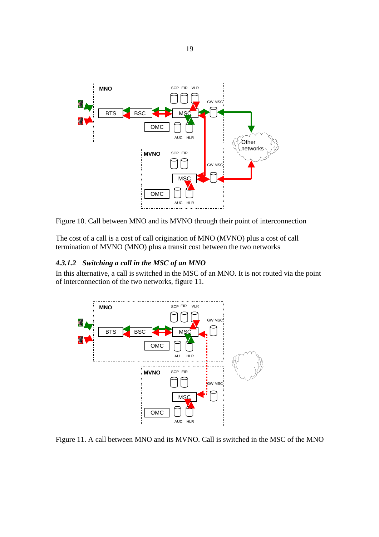

Figure 10. Call between MNO and its MVNO through their point of interconnection

The cost of a call is a cost of call origination of MNO (MVNO) plus a cost of call termination of MVNO (MNO) plus a transit cost between the two networks

## *4.3.1.2 Switching a call in the MSC of an MNO*

In this alternative, a call is switched in the MSC of an MNO. It is not routed via the point of interconnection of the two networks, figure 11.



Figure 11. A call between MNO and its MVNO. Call is switched in the MSC of the MNO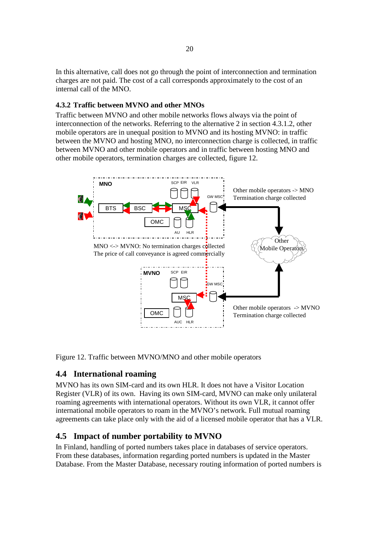In this alternative, call does not go through the point of interconnection and termination charges are not paid. The cost of a call corresponds approximately to the cost of an internal call of the MNO.

# **4.3.2 Traffic between MVNO and other MNOs**

Traffic between MVNO and other mobile networks flows always via the point of interconnection of the networks. Referring to the alternative 2 in section 4.3.1.2, other mobile operators are in unequal position to MVNO and its hosting MVNO: in traffic between the MVNO and hosting MNO, no interconnection charge is collected, in traffic between MVNO and other mobile operators and in traffic between hosting MNO and other mobile operators, termination charges are collected, figure 12.



Figure 12. Traffic between MVNO/MNO and other mobile operators

# **4.4 International roaming**

MVNO has its own SIM-card and its own HLR. It does not have a Visitor Location Register (VLR) of its own. Having its own SIM-card, MVNO can make only unilateral roaming agreements with international operators. Without its own VLR, it cannot offer international mobile operators to roam in the MVNO's network. Full mutual roaming agreements can take place only with the aid of a licensed mobile operator that has a VLR.

# **4.5 Impact of number portability to MVNO**

In Finland, handling of ported numbers takes place in databases of service operators. From these databases, information regarding ported numbers is updated in the Master Database. From the Master Database, necessary routing information of ported numbers is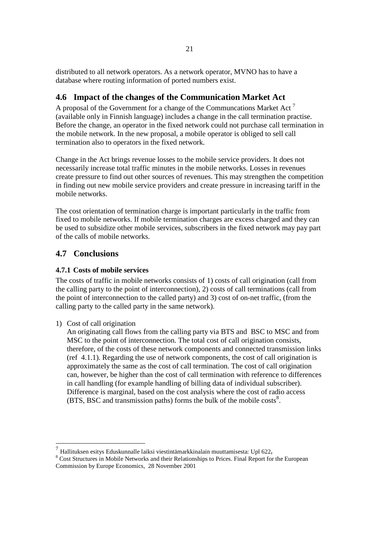distributed to all network operators. As a network operator, MVNO has to have a database where routing information of ported numbers exist.

# **4.6 Impact of the changes of the Communication Market Act**

A proposal of the Government for a change of the Communcations Market Act<sup>7</sup> (available only in Finnish language) includes a change in the call termination practise. Before the change, an operator in the fixed network could not purchase call termination in the mobile network. In the new proposal, a mobile operator is obliged to sell call termination also to operators in the fixed network.

Change in the Act brings revenue losses to the mobile service providers. It does not necessarily increase total traffic minutes in the mobile networks. Losses in revenues create pressure to find out other sources of revenues. This may strengthen the competition in finding out new mobile service providers and create pressure in increasing tariff in the mobile networks.

The cost orientation of termination charge is important particularly in the traffic from fixed to mobile networks. If mobile termination charges are excess charged and they can be used to subsidize other mobile services, subscribers in the fixed network may pay part of the calls of mobile networks.

# **4.7 Conclusions**

# **4.7.1 Costs of mobile services**

The costs of traffic in mobile networks consists of 1) costs of call origination (call from the calling party to the point of interconnection), 2) costs of call terminations (call from the point of interconnection to the called party) and 3) cost of on-net traffic, (from the calling party to the called party in the same network).

1) Cost of call origination

 $\overline{a}$ 

An originating call flows from the calling party via BTS and BSC to MSC and from MSC to the point of interconnection. The total cost of call origination consists, therefore, of the costs of these network components and connected transmission links (ref 4.1.1). Regarding the use of network components, the cost of call origination is approximately the same as the cost of call termination. The cost of call origination can, however, be higher than the cost of call termination with reference to differences in call handling (for example handling of billing data of individual subscriber). Difference is marginal, based on the cost analysis where the cost of radio access (BTS, BSC and transmission paths) forms the bulk of the mobile costs<sup>8</sup>.

<sup>7</sup> Hallituksen esitys Eduskunnalle laiksi viestintämarkkinalain muuttamisesta: Upl 622, 8

<sup>&</sup>lt;sup>8</sup> Cost Structures in Mobile Networks and their Relationships to Prices. Final Report for the European Commission by Europe Economics, 28 November 2001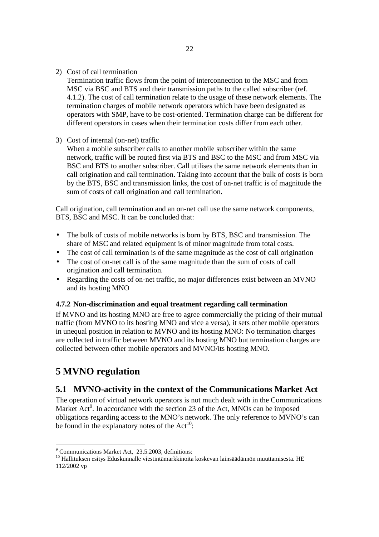2) Cost of call termination

Termination traffic flows from the point of interconnection to the MSC and from MSC via BSC and BTS and their transmission paths to the called subscriber (ref. 4.1.2). The cost of call termination relate to the usage of these network elements. The termination charges of mobile network operators which have been designated as operators with SMP, have to be cost-oriented. Termination charge can be different for different operators in cases when their termination costs differ from each other.

## 3) Cost of internal (on-net) traffic

When a mobile subscriber calls to another mobile subscriber within the same network, traffic will be routed first via BTS and BSC to the MSC and from MSC via BSC and BTS to another subscriber. Call utilises the same network elements than in call origination and call termination. Taking into account that the bulk of costs is born by the BTS, BSC and transmission links, the cost of on-net traffic is of magnitude the sum of costs of call origination and call termination.

Call origination, call termination and an on-net call use the same network components, BTS, BSC and MSC. It can be concluded that:

- The bulk of costs of mobile networks is born by BTS, BSC and transmission. The share of MSC and related equipment is of minor magnitude from total costs.
- The cost of call termination is of the same magnitude as the cost of call origination
- The cost of on-net call is of the same magnitude than the sum of costs of call origination and call termination.
- Regarding the costs of on-net traffic, no major differences exist between an MVNO and its hosting MNO

## **4.7.2 Non-discrimination and equal treatment regarding call termination**

If MVNO and its hosting MNO are free to agree commercially the pricing of their mutual traffic (from MVNO to its hosting MNO and vice a versa), it sets other mobile operators in unequal position in relation to MVNO and its hosting MNO: No termination charges are collected in traffic between MVNO and its hosting MNO but termination charges are collected between other mobile operators and MVNO/its hosting MNO.

# **5 MVNO regulation**

# **5.1 MVNO-activity in the context of the Communications Market Act**

The operation of virtual network operators is not much dealt with in the Communications Market Act<sup>9</sup>. In accordance with the section 23 of the Act, MNOs can be imposed obligations regarding access to the MNO's network. The only reference to MVNO's can be found in the explanatory notes of the  $Act^{10}$ :

 9 Communications Market Act, 23.5.2003, definitions:

<sup>&</sup>lt;sup>10</sup> Hallituksen esitys Eduskunnalle viestintämarkkinoita koskevan lainsäädännön muuttamisesta. HE 112/2002 vp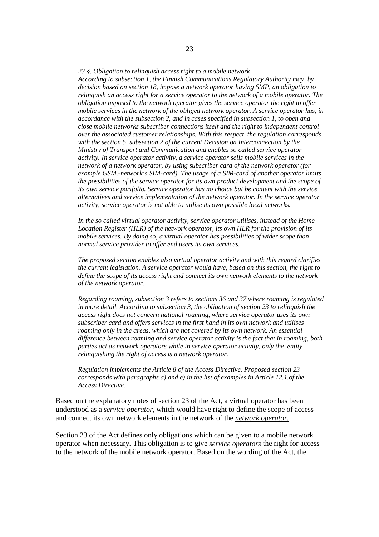*23 §. Obligation to relinquish access right to a mobile network According to subsection 1, the Finnish Communications Regulatory Authority may, by decision based on section 18, impose a network operator having SMP, an obligation to relinquish an access right for a service operator to the network of a mobile operator. The obligation imposed to the network operator gives the service operator the right to offer mobile services in the network of the obliged network operator. A service operator has, in accordance with the subsection 2, and in cases specified in subsection 1, to open and close mobile networks subscriber connections itself and the right to independent control over the associated customer relationships. With this respect, the regulation corresponds with the section 5, subsection 2 of the current Decision on Interconnection by the Ministry of Transport and Communication and enables so called service operator activity. In service operator activity, a service operator sells mobile services in the network of a network operator, by using subscriber card of the network operator (for example GSM.-network's SIM-card). The usage of a SIM-card of another operator limits the possibilities of the service operator for its own product development and the scope of its own service portfolio. Service operator has no choice but be content with the service alternatives and service implementation of the network operator. In the service operator activity, service operator is not able to utilise its own possible local networks.* 

*In the so called virtual operator activity, service operator utilises, instead of the Home Location Register (HLR) of the network operator, its own HLR for the provision of its mobile services. By doing so, a virtual operator has possibilities of wider scope than normal service provider to offer end users its own services.* 

*The proposed section enables also virtual operator activity and with this regard clarifies the current legislation. A service operator would have, based on this section, the right to define the scope of its access right and connect its own network elements to the network of the network operator.* 

*Regarding roaming, subsection 3 refers to sections 36 and 37 where roaming is regulated in more detail. According to subsection 3, the obligation of section 23 to relinquish the access right does not concern national roaming, where service operator uses its own subscriber card and offers services in the first hand in its own network and utilises roaming only in the areas, which are not covered by its own network. An essential difference between roaming and service operator activity is the fact that in roaming, both parties act as network operators while in service operator activity, only the entity relinquishing the right of access is a network operator.* 

*Regulation implements the Article 8 of the Access Directive. Proposed section 23 corresponds with paragraphs a) and e) in the list of examples in Article 12.1.of the Access Directive.* 

Based on the explanatory notes of section 23 of the Act, a virtual operator has been understood as a *service operator*, which would have right to define the scope of access and connect its own network elements in the network of the *network operator.*

Section 23 of the Act defines only obligations which can be given to a mobile network operator when necessary. This obligation is to give *service operators* the right for access to the network of the mobile network operator. Based on the wording of the Act, the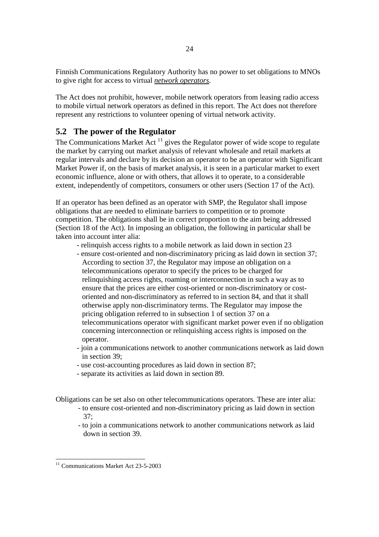Finnish Communications Regulatory Authority has no power to set obligations to MNOs to give right for access to virtual *network operators*.

The Act does not prohibit, however, mobile network operators from leasing radio access to mobile virtual network operators as defined in this report. The Act does not therefore represent any restrictions to volunteer opening of virtual network activity.

# **5.2 The power of the Regulator**

The Communications Market Act  $11$  gives the Regulator power of wide scope to regulate the market by carrying out market analysis of relevant wholesale and retail markets at regular intervals and declare by its decision an operator to be an operator with Significant Market Power if, on the basis of market analysis, it is seen in a particular market to exert economic influence, alone or with others, that allows it to operate, to a considerable extent, independently of competitors, consumers or other users (Section 17 of the Act).

If an operator has been defined as an operator with SMP, the Regulator shall impose obligations that are needed to eliminate barriers to competition or to promote competition. The obligations shall be in correct proportion to the aim being addressed (Section 18 of the Act). In imposing an obligation, the following in particular shall be taken into account inter alia:

- relinquish access rights to a mobile network as laid down in section 23
- ensure cost-oriented and non-discriminatory pricing as laid down in section 37; According to section 37, the Regulator may impose an obligation on a telecommunications operator to specify the prices to be charged for relinquishing access rights, roaming or interconnection in such a way as to ensure that the prices are either cost-oriented or non-discriminatory or costoriented and non-discriminatory as referred to in section 84, and that it shall otherwise apply non-discriminatory terms. The Regulator may impose the pricing obligation referred to in subsection 1 of section 37 on a telecommunications operator with significant market power even if no obligation concerning interconnection or relinquishing access rights is imposed on the operator.
- join a communications network to another communications network as laid down in section 39;
- use cost-accounting procedures as laid down in section 87;
- separate its activities as laid down in section 89.

Obligations can be set also on other telecommunications operators. These are inter alia:

- to ensure cost-oriented and non-discriminatory pricing as laid down in section 37;
- to join a communications network to another communications network as laid down in section 39.

 $\overline{a}$ 

<sup>&</sup>lt;sup>11</sup> Communications Market Act 23-5-2003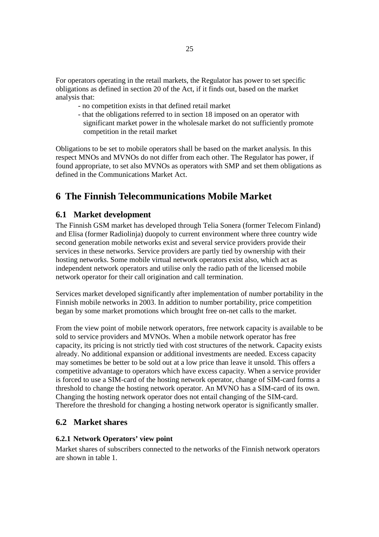For operators operating in the retail markets, the Regulator has power to set specific obligations as defined in section 20 of the Act, if it finds out, based on the market analysis that:

- no competition exists in that defined retail market
- that the obligations referred to in section 18 imposed on an operator with significant market power in the wholesale market do not sufficiently promote competition in the retail market

Obligations to be set to mobile operators shall be based on the market analysis. In this respect MNOs and MVNOs do not differ from each other. The Regulator has power, if found appropriate, to set also MVNOs as operators with SMP and set them obligations as defined in the Communications Market Act.

# **6 The Finnish Telecommunications Mobile Market**

# **6.1 Market development**

The Finnish GSM market has developed through Telia Sonera (former Telecom Finland) and Elisa (former Radiolinja) duopoly to current environment where three country wide second generation mobile networks exist and several service providers provide their services in these networks. Service providers are partly tied by ownership with their hosting networks. Some mobile virtual network operators exist also, which act as independent network operators and utilise only the radio path of the licensed mobile network operator for their call origination and call termination.

Services market developed significantly after implementation of number portability in the Finnish mobile networks in 2003. In addition to number portability, price competition began by some market promotions which brought free on-net calls to the market.

From the view point of mobile network operators, free network capacity is available to be sold to service providers and MVNOs. When a mobile network operator has free capacity, its pricing is not strictly tied with cost structures of the network. Capacity exists already. No additional expansion or additional investments are needed. Excess capacity may sometimes be better to be sold out at a low price than leave it unsold. This offers a competitive advantage to operators which have excess capacity. When a service provider is forced to use a SIM-card of the hosting network operator, change of SIM-card forms a threshold to change the hosting network operator. An MVNO has a SIM-card of its own. Changing the hosting network operator does not entail changing of the SIM-card. Therefore the threshold for changing a hosting network operator is significantly smaller.

## **6.2 Market shares**

#### **6.2.1 Network Operators' view point**

Market shares of subscribers connected to the networks of the Finnish network operators are shown in table 1.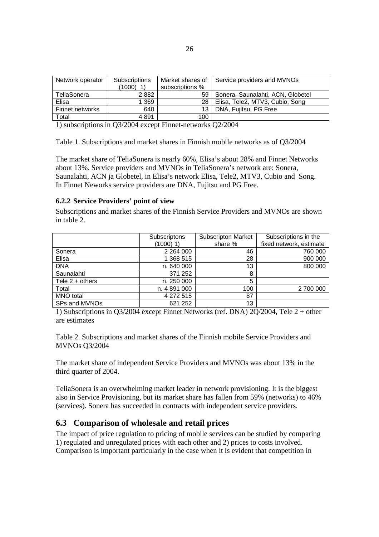| Network operator | Subscriptions<br>$(1000)$ 1) | Market shares of<br>subscriptions % | Service providers and MVNOs       |
|------------------|------------------------------|-------------------------------------|-----------------------------------|
| TeliaSonera      | 2882                         | 59                                  | Sonera, Saunalahti, ACN, Globetel |
| Elisa            | 1369                         | 28                                  | Elisa, Tele2, MTV3, Cubio, Song   |
| Finnet networks  | 640                          | 13.                                 | DNA, Fujitsu, PG Free             |
| Total            | 4891                         | 100                                 |                                   |

1) subscriptions in Q3/2004 except Finnet-networks Q2/2004

Table 1. Subscriptions and market shares in Finnish mobile networks as of Q3/2004

The market share of TeliaSonera is nearly 60%, Elisa's about 28% and Finnet Networks about 13%. Service providers and MVNOs in TeliaSonera's network are: Sonera, Saunalahti, ACN ja Globetel, in Elisa's network Elisa, Tele2, MTV3, Cubio and Song. In Finnet Neworks service providers are DNA, Fujitsu and PG Free.

#### **6.2.2 Service Providers' point of view**

Subscriptions and market shares of the Finnish Service Providers and MVNOs are shown in table 2.

|                   | Subscriptons  | <b>Subscripton Market</b> | Subscriptions in the    |
|-------------------|---------------|---------------------------|-------------------------|
|                   | $(1000)$ 1)   | share %                   | fixed network, estimate |
| Sonera            | 2 2 6 4 0 0 0 | 46                        | 760 000                 |
| Elisa             | 1 368 515     | 28                        | 900 000                 |
| <b>DNA</b>        | n. 640 000    | 13                        | 800 000                 |
| Saunalahti        | 371 252       | 8                         |                         |
| Tele $2 +$ others | n. 250 000    | 5                         |                         |
| Total             | n. 4891 000   | 100                       | 2 700 000               |
| <b>MNO</b> total  | 4 272 515     | 87                        |                         |
| SPs and MVNOs     | 621 252       | 13                        |                         |

1) Subscriptions in Q3/2004 except Finnet Networks (ref. DNA) 2Q/2004, Tele 2 + other are estimates

Table 2. Subscriptions and market shares of the Finnish mobile Service Providers and MVNOs Q3/2004

The market share of independent Service Providers and MVNOs was about 13% in the third quarter of 2004.

TeliaSonera is an overwhelming market leader in network provisioning. It is the biggest also in Service Provisioning, but its market share has fallen from 59% (networks) to 46% (services). Sonera has succeeded in contracts with independent service providers.

## **6.3 Comparison of wholesale and retail prices**

The impact of price regulation to pricing of mobile services can be studied by comparing 1) regulated and unregulated prices with each other and 2) prices to costs involved. Comparison is important particularly in the case when it is evident that competition in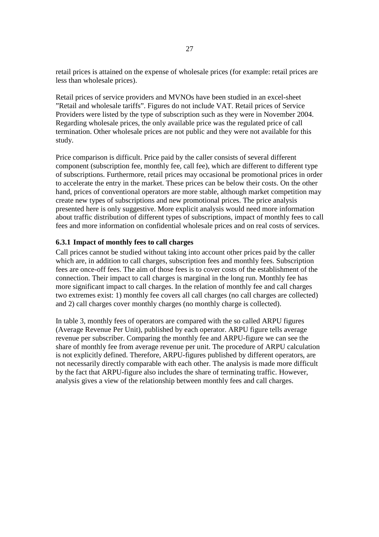retail prices is attained on the expense of wholesale prices (for example: retail prices are less than wholesale prices).

Retail prices of service providers and MVNOs have been studied in an excel-sheet "Retail and wholesale tariffs". Figures do not include VAT. Retail prices of Service Providers were listed by the type of subscription such as they were in November 2004. Regarding wholesale prices, the only available price was the regulated price of call termination. Other wholesale prices are not public and they were not available for this study.

Price comparison is difficult. Price paid by the caller consists of several different component (subscription fee, monthly fee, call fee), which are different to different type of subscriptions. Furthermore, retail prices may occasional be promotional prices in order to accelerate the entry in the market. These prices can be below their costs. On the other hand, prices of conventional operators are more stable, although market competition may create new types of subscriptions and new promotional prices. The price analysis presented here is only suggestive. More explicit analysis would need more information about traffic distribution of different types of subscriptions, impact of monthly fees to call fees and more information on confidential wholesale prices and on real costs of services.

## **6.3.1 Impact of monthly fees to call charges**

Call prices cannot be studied without taking into account other prices paid by the caller which are, in addition to call charges, subscription fees and monthly fees. Subscription fees are once-off fees. The aim of those fees is to cover costs of the establishment of the connection. Their impact to call charges is marginal in the long run. Monthly fee has more significant impact to call charges. In the relation of monthly fee and call charges two extremes exist: 1) monthly fee covers all call charges (no call charges are collected) and 2) call charges cover monthly charges (no monthly charge is collected).

In table 3, monthly fees of operators are compared with the so called ARPU figures (Average Revenue Per Unit), published by each operator. ARPU figure tells average revenue per subscriber. Comparing the monthly fee and ARPU-figure we can see the share of monthly fee from average revenue per unit. The procedure of ARPU calculation is not explicitly defined. Therefore, ARPU-figures published by different operators, are not necessarily directly comparable with each other. The analysis is made more difficult by the fact that ARPU-figure also includes the share of terminating traffic. However, analysis gives a view of the relationship between monthly fees and call charges.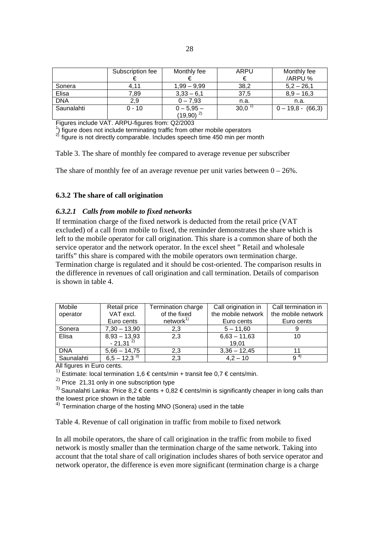|            | Subscription fee | Monthly fee                           | ARPU | Monthly fee         |
|------------|------------------|---------------------------------------|------|---------------------|
|            |                  |                                       |      | /ARPU %             |
| Sonera     | 4.11             | $1,99 - 9,99$                         | 38,2 | $5,2 - 26,1$        |
| Elisa      | 7.89             | $3,33 - 6,1$                          | 37,5 | $8.9 - 16.3$        |
| <b>DNA</b> | 2.9              | $0 - 7.93$                            | n.a. | n.a.                |
| Saunalahti | $0 - 10$         |                                       | 30,0 | $0 - 19,8 - (66,3)$ |
|            |                  | $0 - 5,95 -$<br>(19,90) <sup>2)</sup> |      |                     |

Figures include VAT. ARPU-figures from: Q2/2003

<sup>1</sup>) figure does not include terminating traffic from other mobile operators

 $^{2)}$  figure is not directly comparable. Includes speech time 450 min per month

Table 3. The share of monthly fee compared to average revenue per subscriber

The share of monthly fee of an average revenue per unit varies between  $0 - 26\%$ .

## **6.3.2 The share of call origination**

#### *6.3.2.1 Calls from mobile to fixed networks*

If termination charge of the fixed network is deducted from the retail price (VAT excluded) of a call from mobile to fixed, the reminder demonstrates the share which is left to the mobile operator for call origination. This share is a common share of both the service operator and the network operator. In the excel sheet " Retail and wholesale tariffs" this share is compared with the mobile operators own termination charge. Termination charge is regulated and it should be cost-oriented. The comparison results in the difference in revenues of call origination and call termination. Details of comparison is shown in table 4.

| Mobile     | Retail price     | Termination charge   | Call origination in | Call termination in |
|------------|------------------|----------------------|---------------------|---------------------|
| operator   | VAT excl.        | of the fixed         | the mobile network  | the mobile network  |
|            | Euro cents       | network <sup>1</sup> | Euro cents          | Euro cents          |
| Sonera     | $7,30 - 13,90$   | 2,3                  | $5 - 11,60$         |                     |
| Elisa      | $8,93 - 13,93$   | 2,3                  | $6,63 - 11,63$      | 10                  |
|            | $-21,31^{2}$     |                      | 19.01               |                     |
| <b>DNA</b> | $5,66 - 14,75$   | 2,3                  | $3,36 - 12,45$      |                     |
| Saunalahti | $6,5 - 12,3^{3}$ | 2,3                  | $4,2 - 10$          | $9^{4}$             |

All figures in Euro cents.

<sup>1)</sup> Estimate: local termination 1,6 € cents/min + transit fee 0,7 € cents/min.

 $^{2)}$  Price 21,31 only in one subscription type

<sup>3)</sup> Saunalahti Lanka: Price 8,2 € cents + 0,82 € cents/min is significantly cheaper in long calls than the lowest price shown in the table

 $4)$  Termination charge of the hosting MNO (Sonera) used in the table

Table 4. Revenue of call origination in traffic from mobile to fixed network

In all mobile operators, the share of call origination in the traffic from mobile to fixed network is mostly smaller than the termination charge of the same network. Taking into account that the total share of call origination includes shares of both service operator and network operator, the difference is even more significant (termination charge is a charge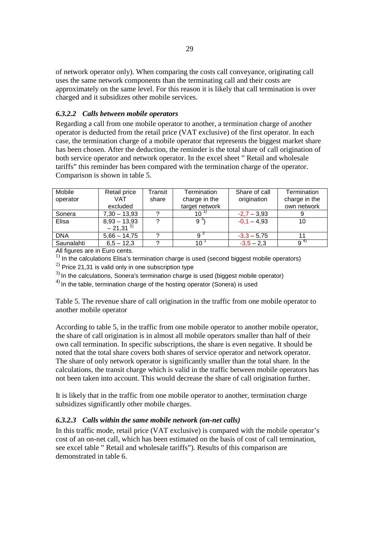of network operator only). When comparing the costs call conveyance, originating call uses the same network components than the terminating call and their costs are approximately on the same level. For this reason it is likely that call termination is over charged and it subsidizes other mobile services.

## *6.3.2.2 Calls between mobile operators*

Regarding a call from one mobile operator to another, a termination charge of another operator is deducted from the retail price (VAT exclusive) of the first operator. In each case, the termination charge of a mobile operator that represents the biggest market share has been chosen. After the deduction, the reminder is the total share of call origination of both service operator and network operator. In the excel sheet " Retail and wholesale tariffs" this reminder has been compared with the termination charge of the operator. Comparison is shown in table 5.

| Mobile     | Retail price   | Transit | Termination      | Share of call | Termination   |
|------------|----------------|---------|------------------|---------------|---------------|
| operator   | VAT            | share   | charge in the    | origination   | charge in the |
|            | excluded       |         | target network   |               | own network   |
| Sonera     | $7,30 - 13,93$ | റ       | $-10$ $^{\circ}$ | $-2,7 - 3,93$ |               |
| Elisa      | $8,93 - 13,93$ | 2       | $9^{3}$          | $-0.1 - 4.93$ | 10            |
|            | $-21,31^{2}$   |         |                  |               |               |
| <b>DNA</b> | $5,66 - 14,75$ |         | 9 °              | $-3,3 - 5,75$ |               |
| Saunalahti | $6,5 - 12,3$   | ◠       | 10               | $-3,5 - 2,3$  | $9^{4}$       |

All figures are in Euro cents.

 $1)$  In the calculations Elisa's termination charge is used (second biggest mobile operators)

 $^{2)}$  Price 21,31 is valid only in one subscription type

<sup>3)</sup> In the calculations, Sonera's termination charge is used (biggest mobile operator)

 $4)$  In the table, termination charge of the hosting operator (Sonera) is used

Table 5. The revenue share of call origination in the traffic from one mobile operator to another mobile operator

According to table 5, in the traffic from one mobile operator to another mobile operator, the share of call origination is in almost all mobile operators smaller than half of their own call termination. In specific subscriptions, the share is even negative. It should be noted that the total share covers both shares of service operator and network operator. The share of only network operator is significantly smaller than the total share. In the calculations, the transit charge which is valid in the traffic between mobile operators has not been taken into account. This would decrease the share of call origination further.

It is likely that in the traffic from one mobile operator to another, termination charge subsidizes significantly other mobile charges.

#### *6.3.2.3 Calls within the same mobile network (on-net calls)*

In this traffic mode, retail price (VAT exclusive) is compared with the mobile operator's cost of an on-net call, which has been estimated on the basis of cost of call termination, see excel table " Retail and wholesale tariffs"). Results of this comparison are demonstrated in table 6.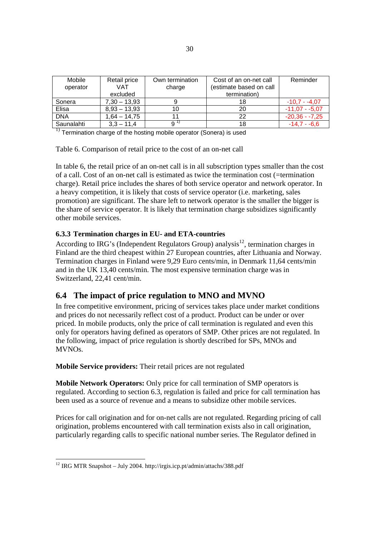| Mobile     | Retail price   | Own termination | Cost of an on-net call  | Reminder        |
|------------|----------------|-----------------|-------------------------|-----------------|
| operator   | VAT            | charge          | (estimate based on call |                 |
|            | excluded       |                 | termination)            |                 |
| Sonera     | $7,30 - 13,93$ |                 | 18                      | $-10.7 - -4.07$ |
| Elisa      | $8,93 - 13,93$ | 10              | 20                      | $-11.07 - 5.07$ |
| <b>DNA</b> | $1.64 - 14.75$ | 11              | 22                      | $-20,36 - 7,25$ |
| Saunalahti | $3,3 - 11,4$   | 9''             | 18                      | $-14.7 - 6.6$   |

 $<sup>1</sup>$  Termination charge of the hosting mobile operator (Sonera) is used</sup>

Table 6. Comparison of retail price to the cost of an on-net call

In table 6, the retail price of an on-net call is in all subscription types smaller than the cost of a call. Cost of an on-net call is estimated as twice the termination cost (=termination charge). Retail price includes the shares of both service operator and network operator. In a heavy competition, it is likely that costs of service operator (i.e. marketing, sales promotion) are significant. The share left to network operator is the smaller the bigger is the share of service operator. It is likely that termination charge subsidizes significantly other mobile services.

## **6.3.3 Termination charges in EU- and ETA-countries**

According to IRG's (Independent Regulators Group) analysis<sup>12</sup>, termination charges in Finland are the third cheapest within 27 European countries, after Lithuania and Norway. Termination charges in Finland were 9,29 Euro cents/min, in Denmark 11,64 cents/min and in the UK 13,40 cents/min. The most expensive termination charge was in Switzerland, 22,41 cent/min.

# **6.4 The impact of price regulation to MNO and MVNO**

In free competitive environment, pricing of services takes place under market conditions and prices do not necessarily reflect cost of a product. Product can be under or over priced. In mobile products, only the price of call termination is regulated and even this only for operators having defined as operators of SMP. Other prices are not regulated. In the following, impact of price regulation is shortly described for SPs, MNOs and MVNOs.

**Mobile Service providers:** Their retail prices are not regulated

**Mobile Network Operators:** Only price for call termination of SMP operators is regulated. According to section 6.3, regulation is failed and price for call termination has been used as a source of revenue and a means to subsidize other mobile services.

Prices for call origination and for on-net calls are not regulated. Regarding pricing of call origination, problems encountered with call termination exists also in call origination, particularly regarding calls to specific national number series. The Regulator defined in

 $\overline{a}$ 

 $12$  IRG MTR Snapshot – July 2004. http://irgis.icp.pt/admin/attachs/388.pdf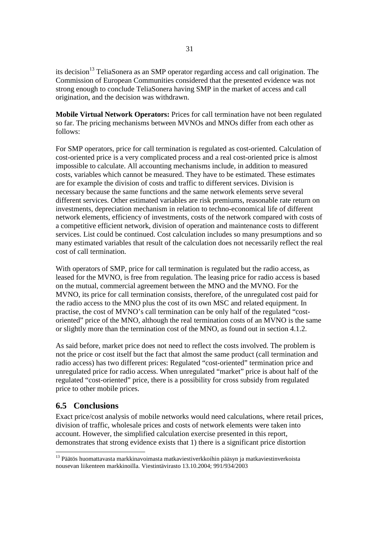its decision<sup>13</sup> TeliaSonera as an SMP operator regarding access and call origination. The Commission of European Communities considered that the presented evidence was not strong enough to conclude TeliaSonera having SMP in the market of access and call origination, and the decision was withdrawn.

**Mobile Virtual Network Operators:** Prices for call termination have not been regulated so far. The pricing mechanisms between MVNOs and MNOs differ from each other as follows:

For SMP operators, price for call termination is regulated as cost-oriented. Calculation of cost-oriented price is a very complicated process and a real cost-oriented price is almost impossible to calculate. All accounting mechanisms include, in addition to measured costs, variables which cannot be measured. They have to be estimated. These estimates are for example the division of costs and traffic to different services. Division is necessary because the same functions and the same network elements serve several different services. Other estimated variables are risk premiums, reasonable rate return on investments, depreciation mechanism in relation to techno-economical life of different network elements, efficiency of investments, costs of the network compared with costs of a competitive efficient network, division of operation and maintenance costs to different services. List could be continued. Cost calculation includes so many presumptions and so many estimated variables that result of the calculation does not necessarily reflect the real cost of call termination.

With operators of SMP, price for call termination is regulated but the radio access, as leased for the MVNO, is free from regulation. The leasing price for radio access is based on the mutual, commercial agreement between the MNO and the MVNO. For the MVNO, its price for call termination consists, therefore, of the unregulated cost paid for the radio access to the MNO plus the cost of its own MSC and related equipment. In practise, the cost of MVNO's call termination can be only half of the regulated "costoriented" price of the MNO, although the real termination costs of an MVNO is the same or slightly more than the termination cost of the MNO, as found out in section 4.1.2.

As said before, market price does not need to reflect the costs involved. The problem is not the price or cost itself but the fact that almost the same product (call termination and radio access) has two different prices: Regulated "cost-oriented" termination price and unregulated price for radio access. When unregulated "market" price is about half of the regulated "cost-oriented" price, there is a possibility for cross subsidy from regulated price to other mobile prices.

# **6.5 Conclusions**

l

Exact price/cost analysis of mobile networks would need calculations, where retail prices, division of traffic, wholesale prices and costs of network elements were taken into account. However, the simplified calculation exercise presented in this report, demonstrates that strong evidence exists that 1) there is a significant price distortion

<sup>&</sup>lt;sup>13</sup> Päätös huomattavasta markkinavoimasta matkaviestiverkkoihin pääsyn ja matkaviestinverkoista nousevan liikenteen markkinoilla. Viestintävirasto 13.10.2004; 991/934/2003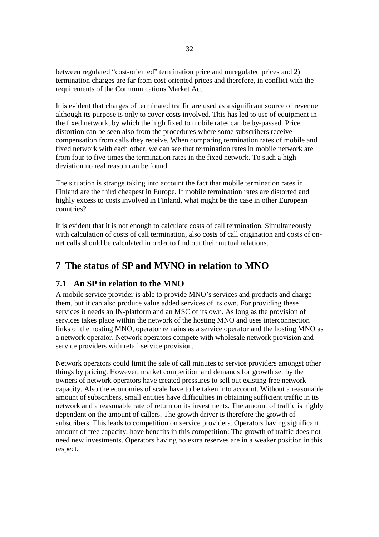between regulated "cost-oriented" termination price and unregulated prices and 2) termination charges are far from cost-oriented prices and therefore, in conflict with the requirements of the Communications Market Act.

It is evident that charges of terminated traffic are used as a significant source of revenue although its purpose is only to cover costs involved. This has led to use of equipment in the fixed network, by which the high fixed to mobile rates can be by-passed. Price distortion can be seen also from the procedures where some subscribers receive compensation from calls they receive. When comparing termination rates of mobile and fixed network with each other, we can see that termination rates in mobile network are from four to five times the termination rates in the fixed network. To such a high deviation no real reason can be found.

The situation is strange taking into account the fact that mobile termination rates in Finland are the third cheapest in Europe. If mobile termination rates are distorted and highly excess to costs involved in Finland, what might be the case in other European countries?

It is evident that it is not enough to calculate costs of call termination. Simultaneously with calculation of costs of call termination, also costs of call origination and costs of onnet calls should be calculated in order to find out their mutual relations.

# **7 The status of SP and MVNO in relation to MNO**

# **7.1 An SP in relation to the MNO**

A mobile service provider is able to provide MNO's services and products and charge them, but it can also produce value added services of its own. For providing these services it needs an IN-platform and an MSC of its own. As long as the provision of services takes place within the network of the hosting MNO and uses interconnection links of the hosting MNO, operator remains as a service operator and the hosting MNO as a network operator. Network operators compete with wholesale network provision and service providers with retail service provision.

Network operators could limit the sale of call minutes to service providers amongst other things by pricing. However, market competition and demands for growth set by the owners of network operators have created pressures to sell out existing free network capacity. Also the economies of scale have to be taken into account. Without a reasonable amount of subscribers, small entities have difficulties in obtaining sufficient traffic in its network and a reasonable rate of return on its investments. The amount of traffic is highly dependent on the amount of callers. The growth driver is therefore the growth of subscribers. This leads to competition on service providers. Operators having significant amount of free capacity, have benefits in this competition: The growth of traffic does not need new investments. Operators having no extra reserves are in a weaker position in this respect.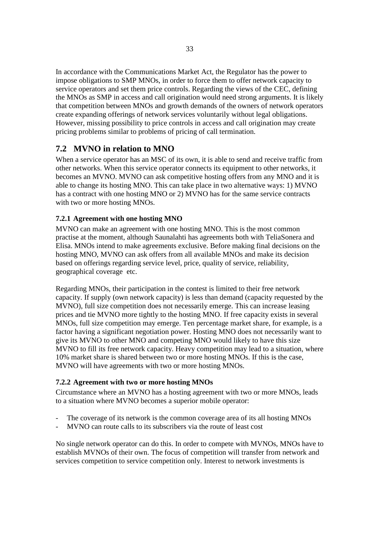In accordance with the Communications Market Act, the Regulator has the power to impose obligations to SMP MNOs, in order to force them to offer network capacity to service operators and set them price controls. Regarding the views of the CEC, defining the MNOs as SMP in access and call origination would need strong arguments. It is likely that competition between MNOs and growth demands of the owners of network operators create expanding offerings of network services voluntarily without legal obligations. However, missing possibility to price controls in access and call origination may create pricing problems similar to problems of pricing of call termination.

# **7.2 MVNO in relation to MNO**

When a service operator has an MSC of its own, it is able to send and receive traffic from other networks. When this service operator connects its equipment to other networks, it becomes an MVNO. MVNO can ask competitive hosting offers from any MNO and it is able to change its hosting MNO. This can take place in two alternative ways: 1) MVNO has a contract with one hosting MNO or 2) MVNO has for the same service contracts with two or more hosting MNOs.

# **7.2.1 Agreement with one hosting MNO**

MVNO can make an agreement with one hosting MNO. This is the most common practise at the moment, although Saunalahti has agreements both with TeliaSonera and Elisa. MNOs intend to make agreements exclusive. Before making final decisions on the hosting MNO, MVNO can ask offers from all available MNOs and make its decision based on offerings regarding service level, price, quality of service, reliability, geographical coverage etc.

Regarding MNOs, their participation in the contest is limited to their free network capacity. If supply (own network capacity) is less than demand (capacity requested by the MVNO), full size competition does not necessarily emerge. This can increase leasing prices and tie MVNO more tightly to the hosting MNO. If free capacity exists in several MNOs, full size competition may emerge. Ten percentage market share, for example, is a factor having a significant negotiation power. Hosting MNO does not necessarily want to give its MVNO to other MNO and competing MNO would likely to have this size MVNO to fill its free network capacity. Heavy competition may lead to a situation, where 10% market share is shared between two or more hosting MNOs. If this is the case, MVNO will have agreements with two or more hosting MNOs.

# **7.2.2 Agreement with two or more hosting MNOs**

Circumstance where an MVNO has a hosting agreement with two or more MNOs, leads to a situation where MVNO becomes a superior mobile operator:

- The coverage of its network is the common coverage area of its all hosting MNOs
- MVNO can route calls to its subscribers via the route of least cost

No single network operator can do this. In order to compete with MVNOs, MNOs have to establish MVNOs of their own. The focus of competition will transfer from network and services competition to service competition only. Interest to network investments is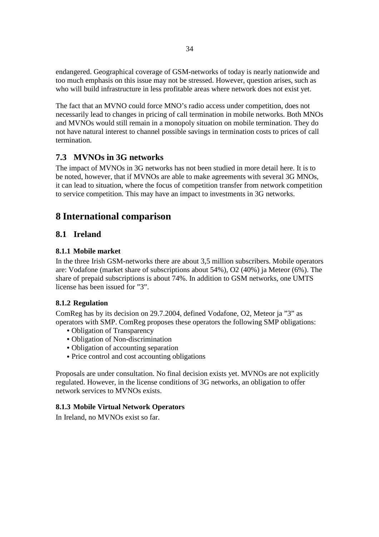endangered. Geographical coverage of GSM-networks of today is nearly nationwide and too much emphasis on this issue may not be stressed. However, question arises, such as who will build infrastructure in less profitable areas where network does not exist yet.

The fact that an MVNO could force MNO's radio access under competition, does not necessarily lead to changes in pricing of call termination in mobile networks. Both MNOs and MVNOs would still remain in a monopoly situation on mobile termination. They do not have natural interest to channel possible savings in termination costs to prices of call termination.

# **7.3 MVNOs in 3G networks**

The impact of MVNOs in 3G networks has not been studied in more detail here. It is to be noted, however, that if MVNOs are able to make agreements with several 3G MNOs, it can lead to situation, where the focus of competition transfer from network competition to service competition. This may have an impact to investments in 3G networks.

# **8 International comparison**

# **8.1 Ireland**

# **8.1.1 Mobile market**

In the three Irish GSM-networks there are about 3,5 million subscribers. Mobile operators are: Vodafone (market share of subscriptions about 54%), O2 (40%) ja Meteor (6%). The share of prepaid subscriptions is about 74%. In addition to GSM networks, one UMTS license has been issued for "3".

# **8.1.2 Regulation**

ComReg has by its decision on 29.7.2004, defined Vodafone, O2, Meteor ja "3" as operators with SMP. ComReg proposes these operators the following SMP obligations:

- Obligation of Transparency
- Obligation of Non-discrimination
- Obligation of accounting separation
- Price control and cost accounting obligations

Proposals are under consultation. No final decision exists yet. MVNOs are not explicitly regulated. However, in the license conditions of 3G networks, an obligation to offer network services to MVNOs exists.

# **8.1.3 Mobile Virtual Network Operators**

In Ireland, no MVNOs exist so far.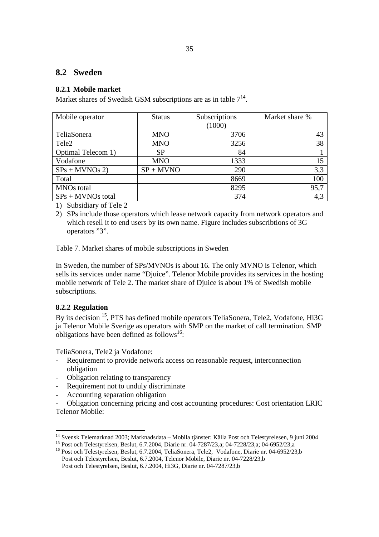# **8.2 Sweden**

# **8.2.1 Mobile market**

Market shares of Swedish GSM subscriptions are as in table  $7^{14}$ .

| Mobile operator     | <b>Status</b> | Subscriptions | Market share % |
|---------------------|---------------|---------------|----------------|
|                     |               | (1000)        |                |
| TeliaSonera         | <b>MNO</b>    | 3706          | 43             |
| Tele <sub>2</sub>   | <b>MNO</b>    | 3256          | 38             |
| Optimal Telecom 1)  | <b>SP</b>     | 84            |                |
| Vodafone            | <b>MNO</b>    | 1333          | 15             |
| $SPs + MVNOs 2)$    | $SP + M VNO$  | 290           | 3,3            |
| Total               |               | 8669          | 100            |
| <b>MNOs</b> total   |               | 8295          | 95,7           |
| $SPs + MVNOs$ total |               | 374           | 4,3            |

1) Subsidiary of Tele 2

2) SPs include those operators which lease network capacity from network operators and which resell it to end users by its own name. Figure includes subscribtions of 3G operators "3".

Table 7. Market shares of mobile subscriptions in Sweden

In Sweden, the number of SPs/MVNOs is about 16. The only MVNO is Telenor, which sells its services under name "Djuice". Telenor Mobile provides its services in the hosting mobile network of Tele 2. The market share of Djuice is about 1% of Swedish mobile subscriptions.

## **8.2.2 Regulation**

By its decision <sup>15</sup>, PTS has defined mobile operators TeliaSonera, Tele2, Vodafone, Hi3G ja Telenor Mobile Sverige as operators with SMP on the market of call termination. SMP obligations have been defined as follows<sup>16</sup>:

TeliaSonera, Tele2 ja Vodafone:

- Requirement to provide network access on reasonable request, interconnection obligation
- Obligation relating to transparency
- Requirement not to unduly discriminate
- Accounting separation obligation
- Obligation concerning pricing and cost accounting procedures: Cost orientation LRIC Telenor Mobile:

<sup>&</sup>lt;sup>14</sup> Svensk Telemarknad 2003; Marknadsdata – Mobila tjänster: Källa Post och Telestyrelesen, 9 juni 2004

<sup>&</sup>lt;sup>15</sup> Post och Telestyrelsen, Beslut, 6.7.2004, Diarie nr. 04-7287/23,a; 04-7228/23,a; 04-6952/23,a<sup>\*</sup> <sup>16</sup> Post och Telestyrelsen, Beslut, 6.7.2004, TeliaSonera, Tele2, Vodafone, Diarie nr. 04-6952/23,b

Post och Telestyrelsen, Beslut, 6.7.2004, Telenor Mobile, Diarie nr. 04-7228/23,b Post och Telestyrelsen, Beslut, 6.7.2004, Hi3G, Diarie nr. 04-7287/23,b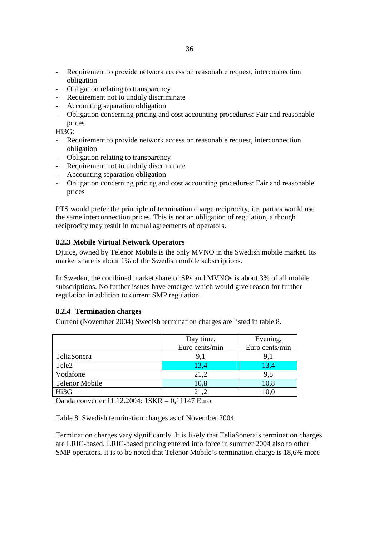- Obligation relating to transparency
- Requirement not to unduly discriminate
- Accounting separation obligation
- Obligation concerning pricing and cost accounting procedures: Fair and reasonable prices

Hi3G:

- Requirement to provide network access on reasonable request, interconnection obligation
- Obligation relating to transparency
- Requirement not to unduly discriminate
- Accounting separation obligation
- Obligation concerning pricing and cost accounting procedures: Fair and reasonable prices

PTS would prefer the principle of termination charge reciprocity, i.e. parties would use the same interconnection prices. This is not an obligation of regulation, although reciprocity may result in mutual agreements of operators.

# **8.2.3 Mobile Virtual Network Operators**

Djuice, owned by Telenor Mobile is the only MVNO in the Swedish mobile market. Its market share is about 1% of the Swedish mobile subscriptions.

In Sweden, the combined market share of SPs and MVNOs is about 3% of all mobile subscriptions. No further issues have emerged which would give reason for further regulation in addition to current SMP regulation.

## **8.2.4 Termination charges**

Current (November 2004) Swedish termination charges are listed in table 8.

|                       | Day time,      | Evening,       |
|-----------------------|----------------|----------------|
|                       | Euro cents/min | Euro cents/min |
| TeliaSonera           | 9.1            |                |
| Tele <sub>2</sub>     | 13,4           | 13,4           |
| Vodafone              | 21,2           | 9,8            |
| <b>Telenor Mobile</b> | 10,8           | 10,8           |
| Hi3G                  | 21,2           | 10,0           |
|                       |                |                |

Oanda converter 11.12.2004: 1SKR = 0,11147 Euro

Table 8. Swedish termination charges as of November 2004

Termination charges vary significantly. It is likely that TeliaSonera's termination charges are LRIC-based. LRIC-based pricing entered into force in summer 2004 also to other SMP operators. It is to be noted that Telenor Mobile's termination charge is 18,6% more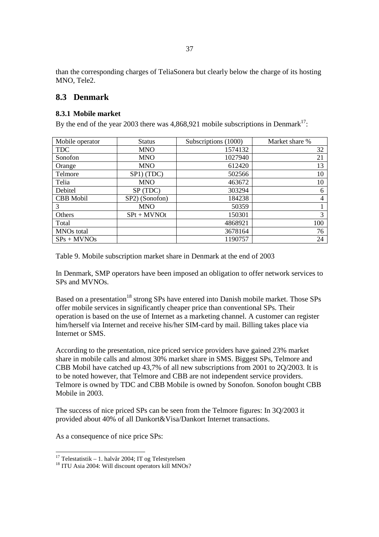than the corresponding charges of TeliaSonera but clearly below the charge of its hosting MNO, Tele2.

# **8.3 Denmark**

## **8.3.1 Mobile market**

By the end of the year 2003 there was  $4,868,921$  mobile subscriptions in Denmark<sup>17</sup>:

| Mobile operator   | <b>Status</b>  | Subscriptions (1000) | Market share % |
|-------------------|----------------|----------------------|----------------|
| <b>TDC</b>        | <b>MNO</b>     | 1574132              | 32             |
| Sonofon           | <b>MNO</b>     | 1027940              | 21             |
| Orange            | <b>MNO</b>     | 612420               | 13             |
| Telmore           | SP1) (TDC)     | 502566               | 10             |
| Telia             | <b>MNO</b>     | 463672               | 10             |
| Debitel           | SP (TDC)       | 303294               | 6              |
| <b>CBB</b> Mobil  | SP2) (Sonofon) | 184238               | 4              |
| 3                 | <b>MNO</b>     | 50359                |                |
| Others            | $SPt + MVNOt$  | 150301               | 3              |
| Total             |                | 4868921              | 100            |
| <b>MNOs</b> total |                | 3678164              | 76             |
| $SPs + MVNOS$     |                | 1190757              | 24             |

Table 9. Mobile subscription market share in Denmark at the end of 2003

In Denmark, SMP operators have been imposed an obligation to offer network services to SPs and MVNOs.

Based on a presentation<sup>18</sup> strong SPs have entered into Danish mobile market. Those SPs offer mobile services in significantly cheaper price than conventional SPs. Their operation is based on the use of Internet as a marketing channel. A customer can register him/herself via Internet and receive his/her SIM-card by mail. Billing takes place via Internet or SMS.

According to the presentation, nice priced service providers have gained 23% market share in mobile calls and almost 30% market share in SMS. Biggest SPs, Telmore and CBB Mobil have catched up 43,7% of all new subscriptions from 2001 to 2Q/2003. It is to be noted however, that Telmore and CBB are not independent service providers. Telmore is owned by TDC and CBB Mobile is owned by Sonofon. Sonofon bought CBB Mobile in 2003.

The success of nice priced SPs can be seen from the Telmore figures: In 3Q/2003 it provided about 40% of all Dankort&Visa/Dankort Internet transactions.

As a consequence of nice price SPs:

l

<sup>&</sup>lt;sup>17</sup> Telestatistik – 1. halvår 2004; IT og Telestyrelsen

<sup>&</sup>lt;sup>18</sup> ITU Asia 2004: Will discount operators kill MNOs?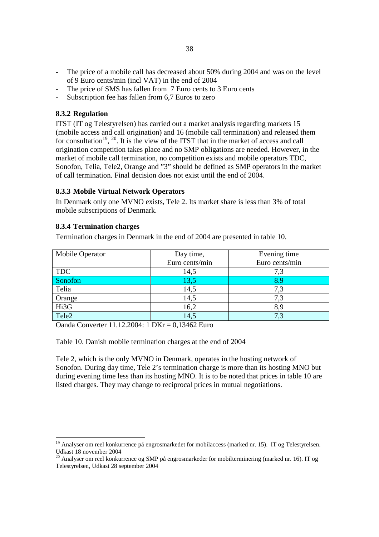- The price of a mobile call has decreased about 50% during 2004 and was on the level of 9 Euro cents/min (incl VAT) in the end of 2004
- The price of SMS has fallen from 7 Euro cents to 3 Euro cents
- Subscription fee has fallen from 6,7 Euros to zero

#### **8.3.2 Regulation**

ITST (IT og Telestyrelsen) has carried out a market analysis regarding markets 15 (mobile access and call origination) and 16 (mobile call termination) and released them for consultation<sup>19</sup>, <sup>20</sup>. It is the view of the ITST that in the market of access and call origination competition takes place and no SMP obligations are needed. However, in the market of mobile call termination, no competition exists and mobile operators TDC, Sonofon, Telia, Tele2, Orange and "3" should be defined as SMP operators in the market of call termination. Final decision does not exist until the end of 2004.

## **8.3.3 Mobile Virtual Network Operators**

In Denmark only one MVNO exists, Tele 2. Its market share is less than 3% of total mobile subscriptions of Denmark.

#### **8.3.4 Termination charges**

Termination charges in Denmark in the end of 2004 are presented in table 10.

| Mobile Operator | Day time,      | Evening time   |  |  |  |
|-----------------|----------------|----------------|--|--|--|
|                 | Euro cents/min | Euro cents/min |  |  |  |
| <b>TDC</b>      | 14,5           |                |  |  |  |
| Sonofon         | 13,5           |                |  |  |  |
| Telia           | 14,5           | 7,3            |  |  |  |
| Orange          | 14,5           | 7.3            |  |  |  |
| Hi3G            | 16,2           |                |  |  |  |
| Tele2           | 14,5           |                |  |  |  |

Oanda Converter 11.12.2004: 1 DKr = 0,13462 Euro

Table 10. Danish mobile termination charges at the end of 2004

Tele 2, which is the only MVNO in Denmark, operates in the hosting network of Sonofon. During day time, Tele 2's termination charge is more than its hosting MNO but during evening time less than its hosting MNO. It is to be noted that prices in table 10 are listed charges. They may change to reciprocal prices in mutual negotiations.

<sup>&</sup>lt;sup>19</sup> Analyser om reel konkurrence på engrosmarkedet for mobilaccess (marked nr. 15). IT og Telestyrelsen. Udkast 18 november 2004

<sup>&</sup>lt;sup>20</sup> Analyser om reel konkurrence og SMP på engrosmarkeder for mobilterminering (marked nr. 16). IT og Telestyrelsen, Udkast 28 september 2004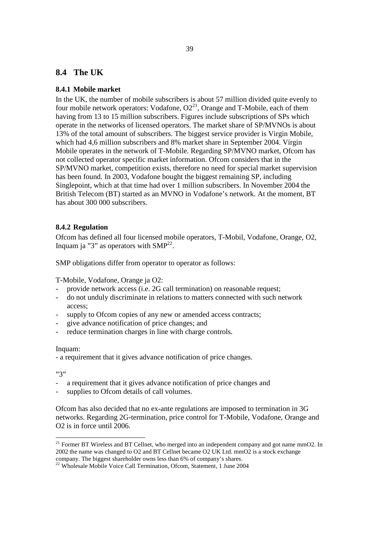# **8.4 The UK**

#### **8.4.1 Mobile market**

In the UK, the number of mobile subscribers is about 57 million divided quite evenly to four mobile network operators: Vodafone,  $O2<sup>21</sup>$ , Orange and T-Mobile, each of them having from 13 to 15 million subscribers. Figures include subscriptions of SPs which operate in the networks of licensed operators. The market share of SP/MVNOs is about 13% of the total amount of subscribers. The biggest service provider is Virgin Mobile, which had 4,6 million subscribers and 8% market share in September 2004. Virgin Mobile operates in the network of T-Mobile. Regarding SP/MVNO market, Ofcom has not collected operator specific market information. Ofcom considers that in the SP/MVNO market, competition exists, therefore no need for special market supervision has been found. In 2003, Vodafone bought the biggest remaining SP, including Singlepoint, which at that time had over 1 million subscribers. In November 2004 the British Telecom (BT) started as an MVNO in Vodafone's network. At the moment, BT has about 300 000 subscribers.

#### **8.4.2 Regulation**

Ofcom has defined all four licensed mobile operators, T-Mobil, Vodafone, Orange, O2, Inquam ja "3" as operators with  $SMP^{22}$ .

SMP obligations differ from operator to operator as follows:

T-Mobile, Vodafone, Orange ja O2:

- provide network access (i.e. 2G call termination) on reasonable request;
- do not unduly discriminate in relations to matters connected with such network access;
- supply to Ofcom copies of any new or amended access contracts;
- give advance notification of price changes; and
- reduce termination charges in line with charge controls.

#### Inquam:

- a requirement that it gives advance notification of price changes.

#### "3"

- a requirement that it gives advance notification of price changes and
- supplies to Ofcom details of call volumes.

Ofcom has also decided that no ex-ante regulations are imposed to termination in 3G networks. Regarding 2G-termination, price control for T-Mobile, Vodafone, Orange and O2 is in force until 2006.

 $21$  Former BT Wireless and BT Cellnet, who merged into an independent company and got name mmO2. In 2002 the name was changed to O2 and BT Cellnet became O2 UK Ltd. mmO2 is a stock exchange company. The biggest shareholder owns less than 6% of company's shares.

<sup>&</sup>lt;sup>22</sup> Wholesale Mobile Voice Call Termination, Ofcom, Statement, 1 June 2004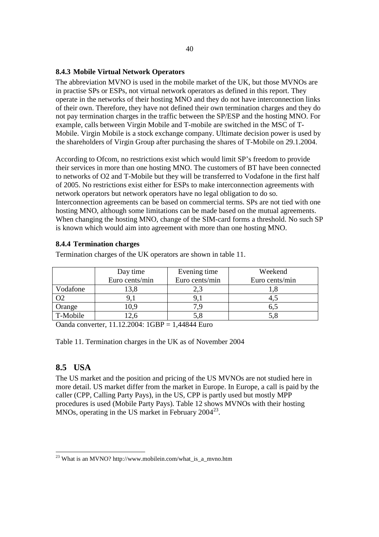## **8.4.3 Mobile Virtual Network Operators**

The abbreviation MVNO is used in the mobile market of the UK, but those MVNOs are in practise SPs or ESPs, not virtual network operators as defined in this report. They operate in the networks of their hosting MNO and they do not have interconnection links of their own. Therefore, they have not defined their own termination charges and they do not pay termination charges in the traffic between the SP/ESP and the hosting MNO. For example, calls between Virgin Mobile and T-mobile are switched in the MSC of T-Mobile. Virgin Mobile is a stock exchange company. Ultimate decision power is used by the shareholders of Virgin Group after purchasing the shares of T-Mobile on 29.1.2004.

According to Ofcom, no restrictions exist which would limit SP's freedom to provide their services in more than one hosting MNO. The customers of BT have been connected to networks of O2 and T-Mobile but they will be transferred to Vodafone in the first half of 2005. No restrictions exist either for ESPs to make interconnection agreements with network operators but network operators have no legal obligation to do so. Interconnection agreements can be based on commercial terms. SPs are not tied with one hosting MNO, although some limitations can be made based on the mutual agreements. When changing the hosting MNO, change of the SIM-card forms a threshold. No such SP is known which would aim into agreement with more than one hosting MNO.

## **8.4.4 Termination charges**

Termination charges of the UK operators are shown in table 11.

|               | Day time       | Evening time     | Weekend |  |  |  |
|---------------|----------------|------------------|---------|--|--|--|
|               | Euro cents/min | Euro cents/min   |         |  |  |  |
| Vodafone      | 3,8            | 2,3              |         |  |  |  |
|               |                | 9. J             | 4.J     |  |  |  |
| Orange        | 0,9            |                  | 6.5     |  |  |  |
| T-Mobile      | 2.6            | 5,8              | 5,8     |  |  |  |
| $\sim$ $\sim$ | .<br>-----     | . <del>. .</del> |         |  |  |  |

Oanda converter, 11.12.2004: 1GBP = 1,44844 Euro

Table 11. Termination charges in the UK as of November 2004

# **8.5 USA**

l

The US market and the position and pricing of the US MVNOs are not studied here in more detail. US market differ from the market in Europe. In Europe, a call is paid by the caller (CPP, Calling Party Pays), in the US, CPP is partly used but mostly MPP procedures is used (Mobile Party Pays). Table 12 shows MVNOs with their hosting MNOs, operating in the US market in February 2004<sup>23</sup>.

<sup>&</sup>lt;sup>23</sup> What is an MVNO? http://www.mobilein.com/what\_is\_a\_mvno.htm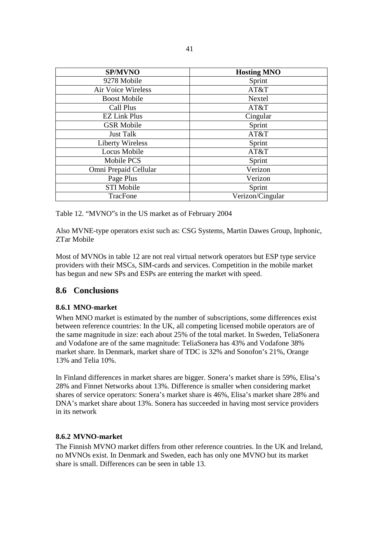| <b>SP/MVNO</b>          | <b>Hosting MNO</b> |
|-------------------------|--------------------|
| 9278 Mobile             | Sprint             |
| Air Voice Wireless      | AT&T               |
| <b>Boost Mobile</b>     | Nextel             |
| Call Plus               | AT&T               |
| <b>EZ Link Plus</b>     | Cingular           |
| <b>GSR Mobile</b>       | Sprint             |
| <b>Just Talk</b>        | AT&T               |
| <b>Liberty Wireless</b> | Sprint             |
| <b>Locus Mobile</b>     | AT&T               |
| Mobile PCS              | Sprint             |
| Omni Prepaid Cellular   | Verizon            |
| Page Plus               | Verizon            |
| <b>STI Mobile</b>       | Sprint             |
| TracFone                | Verizon/Cingular   |

Table 12. "MVNO"s in the US market as of February 2004

Also MVNE-type operators exist such as: CSG Systems, Martin Dawes Group, Inphonic, ZTar Mobile

Most of MVNOs in table 12 are not real virtual network operators but ESP type service providers with their MSCs, SIM-cards and services. Competition in the mobile market has begun and new SPs and ESPs are entering the market with speed.

# **8.6 Conclusions**

# **8.6.1 MNO-market**

When MNO market is estimated by the number of subscriptions, some differences exist between reference countries: In the UK, all competing licensed mobile operators are of the same magnitude in size: each about 25% of the total market. In Sweden, TeliaSonera and Vodafone are of the same magnitude: TeliaSonera has 43% and Vodafone 38% market share. In Denmark, market share of TDC is 32% and Sonofon's 21%, Orange 13% and Telia 10%.

In Finland differences in market shares are bigger. Sonera's market share is 59%, Elisa's 28% and Finnet Networks about 13%. Difference is smaller when considering market shares of service operators: Sonera's market share is 46%, Elisa's market share 28% and DNA's market share about 13%. Sonera has succeeded in having most service providers in its network

## **8.6.2 MVNO-market**

The Finnish MVNO market differs from other reference countries. In the UK and Ireland, no MVNOs exist. In Denmark and Sweden, each has only one MVNO but its market share is small. Differences can be seen in table 13.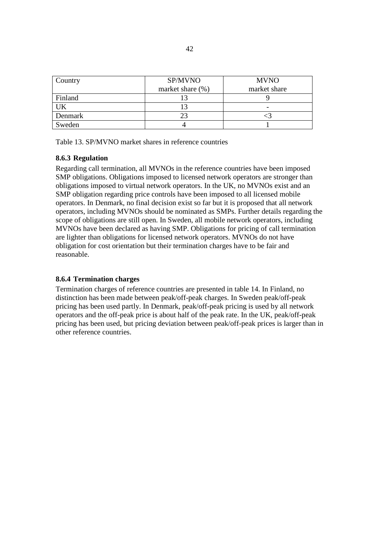| Country | SP/MVNO             | <b>MVNO</b>  |  |  |  |
|---------|---------------------|--------------|--|--|--|
|         | market share $(\%)$ | market share |  |  |  |
| Finland |                     |              |  |  |  |
| JK      |                     |              |  |  |  |
| Denmark |                     |              |  |  |  |
| Sweden  |                     |              |  |  |  |

Table 13. SP/MVNO market shares in reference countries

## **8.6.3 Regulation**

Regarding call termination, all MVNOs in the reference countries have been imposed SMP obligations. Obligations imposed to licensed network operators are stronger than obligations imposed to virtual network operators. In the UK, no MVNOs exist and an SMP obligation regarding price controls have been imposed to all licensed mobile operators. In Denmark, no final decision exist so far but it is proposed that all network operators, including MVNOs should be nominated as SMPs. Further details regarding the scope of obligations are still open. In Sweden, all mobile network operators, including MVNOs have been declared as having SMP. Obligations for pricing of call termination are lighter than obligations for licensed network operators. MVNOs do not have obligation for cost orientation but their termination charges have to be fair and reasonable.

## **8.6.4 Termination charges**

Termination charges of reference countries are presented in table 14. In Finland, no distinction has been made between peak/off-peak charges. In Sweden peak/off-peak pricing has been used partly. In Denmark, peak/off-peak pricing is used by all network operators and the off-peak price is about half of the peak rate. In the UK, peak/off-peak pricing has been used, but pricing deviation between peak/off-peak prices is larger than in other reference countries.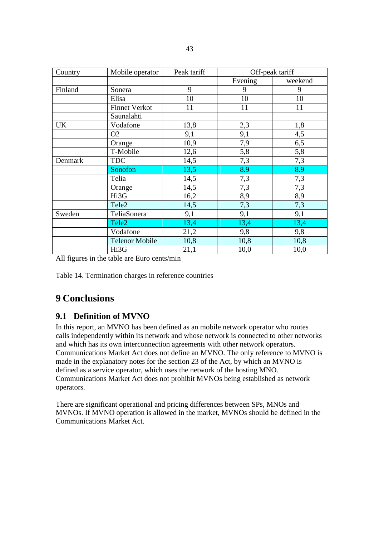| Country   | Mobile operator       | Peak tariff | Off-peak tariff |         |  |  |  |
|-----------|-----------------------|-------------|-----------------|---------|--|--|--|
|           |                       |             | Evening         | weekend |  |  |  |
| Finland   | Sonera                | 9           | 9               | 9       |  |  |  |
|           | Elisa                 | 10          | 10              | 10      |  |  |  |
|           | <b>Finnet Verkot</b>  | 11          | 11              | 11      |  |  |  |
|           | Saunalahti            |             |                 |         |  |  |  |
| <b>UK</b> | Vodafone              | 13,8        | 2,3             | 1,8     |  |  |  |
|           | O <sub>2</sub>        | 9,1         | 9,1             | 4,5     |  |  |  |
|           | Orange                | 10,9        | 7,9             | 6,5     |  |  |  |
|           | T-Mobile              | 12,6        | 5,8             | 5,8     |  |  |  |
| Denmark   | <b>TDC</b>            | 14,5        | 7,3             | 7,3     |  |  |  |
|           | Sonofon               | 13,5        | 8.9             | 8.9     |  |  |  |
|           | Telia                 | 14,5        | 7,3             | 7,3     |  |  |  |
|           | Orange                | 14,5        | 7,3             | 7,3     |  |  |  |
|           | Hi3G                  | 16,2        | 8,9             | 8,9     |  |  |  |
|           | Tele2                 | 14,5        | 7,3             | 7,3     |  |  |  |
| Sweden    | TeliaSonera           | 9,1         | 9,1             | 9,1     |  |  |  |
|           | Tele <sub>2</sub>     | 13,4        | 13,4            | 13,4    |  |  |  |
|           | Vodafone              | 21,2        | 9,8             | 9,8     |  |  |  |
|           | <b>Telenor Mobile</b> | 10,8        | 10,8            | 10,8    |  |  |  |
|           | Hi3G                  | 21,1        | 10,0            | 10,0    |  |  |  |

All figures in the table are Euro cents/min

Table 14. Termination charges in reference countries

# **9 Conclusions**

# **9.1 Definition of MVNO**

In this report, an MVNO has been defined as an mobile network operator who routes calls independently within its network and whose network is connected to other networks and which has its own interconnection agreements with other network operators. Communications Market Act does not define an MVNO. The only reference to MVNO is made in the explanatory notes for the section 23 of the Act, by which an MVNO is defined as a service operator, which uses the network of the hosting MNO. Communications Market Act does not prohibit MVNOs being established as network operators.

There are significant operational and pricing differences between SPs, MNOs and MVNOs. If MVNO operation is allowed in the market, MVNOs should be defined in the Communications Market Act.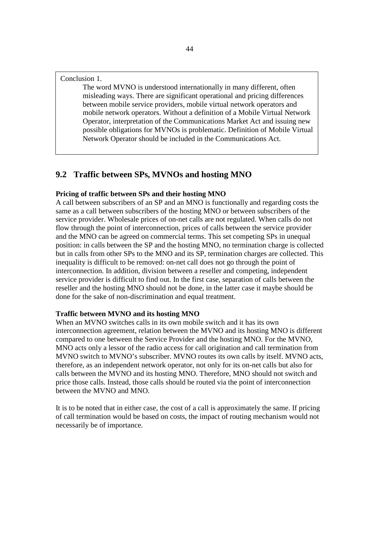Conclusion 1.

The word MVNO is understood internationally in many different, often misleading ways. There are significant operational and pricing differences between mobile service providers, mobile virtual network operators and mobile network operators. Without a definition of a Mobile Virtual Network Operator, interpretation of the Communications Market Act and issuing new possible obligations for MVNOs is problematic. Definition of Mobile Virtual Network Operator should be included in the Communications Act.

# **9.2 Traffic between SPs, MVNOs and hosting MNO**

#### **Pricing of traffic between SPs and their hosting MNO**

A call between subscribers of an SP and an MNO is functionally and regarding costs the same as a call between subscribers of the hosting MNO or between subscribers of the service provider. Wholesale prices of on-net calls are not regulated. When calls do not flow through the point of interconnection, prices of calls between the service provider and the MNO can be agreed on commercial terms. This set competing SPs in unequal position: in calls between the SP and the hosting MNO, no termination charge is collected but in calls from other SPs to the MNO and its SP, termination charges are collected. This inequality is difficult to be removed: on-net call does not go through the point of interconnection. In addition, division between a reseller and competing, independent service provider is difficult to find out. In the first case, separation of calls between the reseller and the hosting MNO should not be done, in the latter case it maybe should be done for the sake of non-discrimination and equal treatment.

#### **Traffic between MVNO and its hosting MNO**

When an MVNO switches calls in its own mobile switch and it has its own interconnection agreement, relation between the MVNO and its hosting MNO is different compared to one between the Service Provider and the hosting MNO. For the MVNO, MNO acts only a lessor of the radio access for call origination and call termination from MVNO switch to MVNO's subscriber. MVNO routes its own calls by itself. MVNO acts, therefore, as an independent network operator, not only for its on-net calls but also for calls between the MVNO and its hosting MNO. Therefore, MNO should not switch and price those calls. Instead, those calls should be routed via the point of interconnection between the MVNO and MNO.

It is to be noted that in either case, the cost of a call is approximately the same. If pricing of call termination would be based on costs, the impact of routing mechanism would not necessarily be of importance.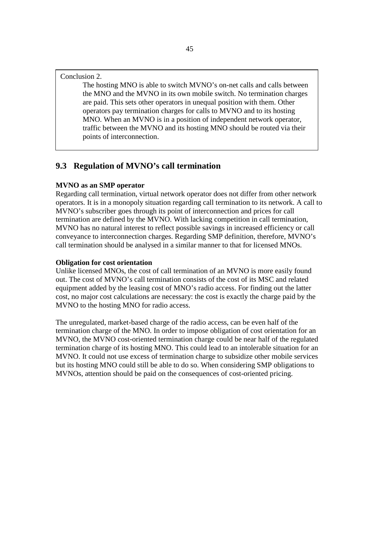#### Conclusion 2.

The hosting MNO is able to switch MVNO's on-net calls and calls between the MNO and the MVNO in its own mobile switch. No termination charges are paid. This sets other operators in unequal position with them. Other operators pay termination charges for calls to MVNO and to its hosting MNO. When an MVNO is in a position of independent network operator, traffic between the MVNO and its hosting MNO should be routed via their points of interconnection.

# **9.3 Regulation of MVNO's call termination**

#### **MVNO as an SMP operator**

Regarding call termination, virtual network operator does not differ from other network operators. It is in a monopoly situation regarding call termination to its network. A call to MVNO's subscriber goes through its point of interconnection and prices for call termination are defined by the MVNO. With lacking competition in call termination, MVNO has no natural interest to reflect possible savings in increased efficiency or call conveyance to interconnection charges. Regarding SMP definition, therefore, MVNO's call termination should be analysed in a similar manner to that for licensed MNOs.

#### **Obligation for cost orientation**

Unlike licensed MNOs, the cost of call termination of an MVNO is more easily found out. The cost of MVNO's call termination consists of the cost of its MSC and related equipment added by the leasing cost of MNO's radio access. For finding out the latter cost, no major cost calculations are necessary: the cost is exactly the charge paid by the MVNO to the hosting MNO for radio access.

The unregulated, market-based charge of the radio access, can be even half of the termination charge of the MNO. In order to impose obligation of cost orientation for an MVNO, the MVNO cost-oriented termination charge could be near half of the regulated termination charge of its hosting MNO. This could lead to an intolerable situation for an MVNO. It could not use excess of termination charge to subsidize other mobile services but its hosting MNO could still be able to do so. When considering SMP obligations to MVNOs, attention should be paid on the consequences of cost-oriented pricing.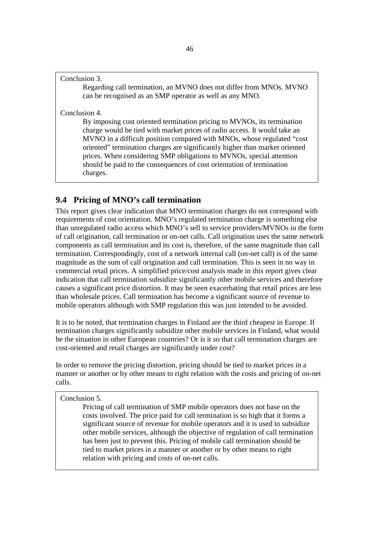#### Conclusion 3.

Regarding call termination, an MVNO does not differ from MNOs. MVNO can be recognised as an SMP operator as well as any MNO.

Conclusion 4.

By imposing cost oriented termination pricing to MVNOs, its termination charge would be tied with market prices of radio access. It would take an MVNO in a difficult position compared with MNOs, whose regulated "cost oriented" termination charges are significantly higher than market oriented prices. When considering SMP obligations to MVNOs, special attention should be paid to the consequences of cost orientation of termination charges.

# **9.4 Pricing of MNO's call termination**

This report gives clear indication that MNO termination charges do not correspond with requirements of cost orientation. MNO's regulated termination charge is something else than unregulated radio access which MNO's sell to service providers/MVNOs in the form of call origination, call termination or on-net calls. Call origination uses the same network components as call termination and its cost is, therefore, of the same magnitude than call termination. Correspondingly, cost of a network internal call (on-net call) is of the same magnitude as the sum of call origination and call termination. This is seen in no way in commercial retail prices. A simplified price/cost analysis made in this report gives clear indication that call termination subsidize significantly other mobile services and therefore causes a significant price distortion. It may be seen exacerbating that retail prices are less than wholesale prices. Call termination has become a significant source of revenue to mobile operators although with SMP regulation this was just intended to be avoided.

It is to be noted, that termination charges in Finland are the third cheapest in Europe. If termination charges significantly subsidize other mobile services in Finland, what would be the situation in other European countries? Or is it so that call termination charges are cost-oriented and retail charges are significantly under cost?

In order to remove the pricing distortion, pricing should be tied to market prices in a manner or another or by other means to right relation with the costs and pricing of on-net calls.

#### Conclusion 5.

Pricing of call termination of SMP mobile operators does not base on the costs involved. The price paid for call termination is so high that it forms a significant source of revenue for mobile operators and it is used to subsidize other mobile services, although the objective of regulation of call termination has been just to prevent this. Pricing of mobile call termination should be tied to market prices in a manner or another or by other means to right relation with pricing and costs of on-net calls.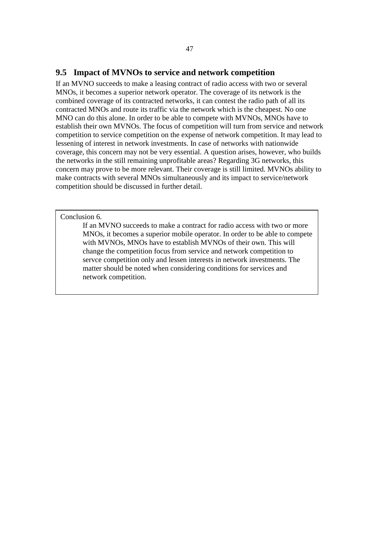#### **9.5 Impact of MVNOs to service and network competition**

If an MVNO succeeds to make a leasing contract of radio access with two or several MNOs, it becomes a superior network operator. The coverage of its network is the combined coverage of its contracted networks, it can contest the radio path of all its contracted MNOs and route its traffic via the network which is the cheapest. No one MNO can do this alone. In order to be able to compete with MVNOs, MNOs have to establish their own MVNOs. The focus of competition will turn from service and network competition to service competition on the expense of network competition. It may lead to lessening of interest in network investments. In case of networks with nationwide coverage, this concern may not be very essential. A question arises, however, who builds the networks in the still remaining unprofitable areas? Regarding 3G networks, this concern may prove to be more relevant. Their coverage is still limited. MVNOs ability to make contracts with several MNOs simultaneously and its impact to service/network competition should be discussed in further detail.

#### Conclusion 6.

If an MVNO succeeds to make a contract for radio access with two or more MNOs, it becomes a superior mobile operator. In order to be able to compete with MVNOs, MNOs have to establish MVNOs of their own. This will change the competition focus from service and network competition to servce competition only and lessen interests in network investments. The matter should be noted when considering conditions for services and network competition.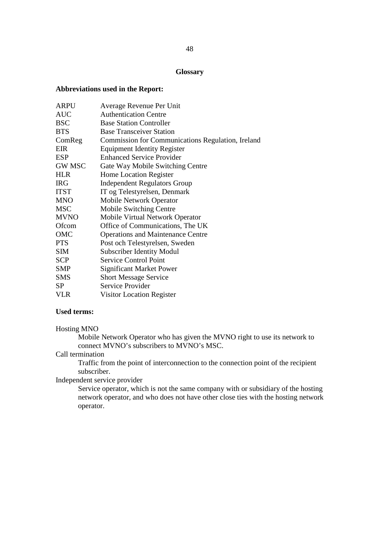#### **Glossary**

#### **Abbreviations used in the Report:**

| <b>ARPU</b>   | Average Revenue Per Unit                                 |
|---------------|----------------------------------------------------------|
| <b>AUC</b>    | <b>Authentication Centre</b>                             |
| <b>BSC</b>    | <b>Base Station Controller</b>                           |
| <b>BTS</b>    | <b>Base Transceiver Station</b>                          |
| ComReg        | <b>Commission for Communications Regulation, Ireland</b> |
| EIR           | <b>Equipment Identity Register</b>                       |
| <b>ESP</b>    | <b>Enhanced Service Provider</b>                         |
| <b>GW MSC</b> | Gate Way Mobile Switching Centre                         |
| <b>HLR</b>    | Home Location Register                                   |
| <b>IRG</b>    | <b>Independent Regulators Group</b>                      |
| <b>ITST</b>   | IT og Telestyrelsen, Denmark                             |
| <b>MNO</b>    | <b>Mobile Network Operator</b>                           |
| <b>MSC</b>    | <b>Mobile Switching Centre</b>                           |
| <b>MVNO</b>   | Mobile Virtual Network Operator                          |
| Ofcom         | Office of Communications, The UK                         |
| OMC           | <b>Operations and Maintenance Centre</b>                 |
| <b>PTS</b>    | Post och Telestyrelsen, Sweden                           |
| <b>SIM</b>    | <b>Subscriber Identity Modul</b>                         |
| <b>SCP</b>    | <b>Service Control Point</b>                             |
| <b>SMP</b>    | <b>Significant Market Power</b>                          |
| <b>SMS</b>    | <b>Short Message Service</b>                             |
| <b>SP</b>     | Service Provider                                         |
| <b>VLR</b>    | Visitor Location Register                                |

## **Used terms:**

#### Hosting MNO

Mobile Network Operator who has given the MVNO right to use its network to connect MVNO's subscribers to MVNO's MSC.

# Call termination

Traffic from the point of interconnection to the connection point of the recipient subscriber.

# Independent service provider

Service operator, which is not the same company with or subsidiary of the hosting network operator, and who does not have other close ties with the hosting network operator.